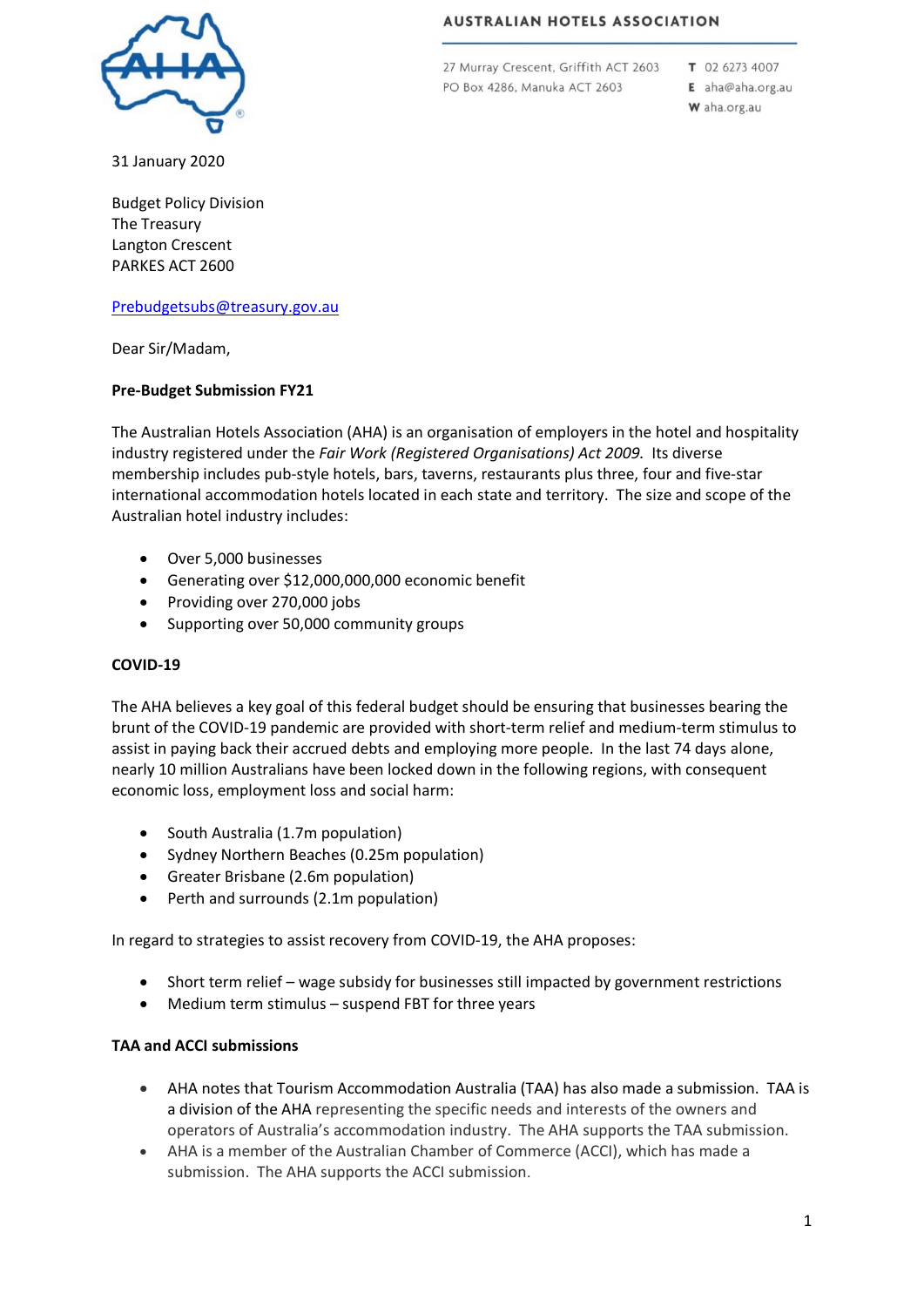

**AUSTRALIAN HOTELS ASSOCIATION** 

27 Murray Crescent, Griffith ACT 2603 PO Box 4286, Manuka ACT 2603

T 02 6273 4007 E aha@aha.org.au

W aha.org.au

31 January 2020

Budget Policy Division The Treasury Langton Crescent PARKES ACT 2600

#### [Prebudgetsubs@treasury.gov.au](mailto:prebudgetsubs@treasury.gov.au)

Dear Sir/Madam,

#### **Pre-Budget Submission FY21**

The Australian Hotels Association (AHA) is an organisation of employers in the hotel and hospitality industry registered under the *Fair Work (Registered Organisations) Act 2009.* Its diverse membership includes pub-style hotels, bars, taverns, restaurants plus three, four and five-star international accommodation hotels located in each state and territory. The size and scope of the Australian hotel industry includes:

- Over 5,000 businesses
- Generating over \$12,000,000,000 economic benefit
- Providing over 270,000 jobs
- Supporting over 50,000 community groups

#### **COVID-19**

The AHA believes a key goal of this federal budget should be ensuring that businesses bearing the brunt of the COVID-19 pandemic are provided with short-term relief and medium-term stimulus to assist in paying back their accrued debts and employing more people. In the last 74 days alone, nearly 10 million Australians have been locked down in the following regions, with consequent economic loss, employment loss and social harm:

- South Australia (1.7m population)
- Sydney Northern Beaches (0.25m population)
- Greater Brisbane (2.6m population)
- Perth and surrounds (2.1m population)

In regard to strategies to assist recovery from COVID-19, the AHA proposes:

- Short term relief wage subsidy for businesses still impacted by government restrictions
- Medium term stimulus suspend FBT for three years

#### **TAA and ACCI submissions**

- AHA notes that Tourism Accommodation Australia (TAA) has also made a submission. TAA is a division of the AHA representing the specific needs and interests of the owners and operators of Australia's accommodation industry. The AHA supports the TAA submission.
- AHA is a member of the Australian Chamber of Commerce (ACCI), which has made a submission. The AHA supports the ACCI submission.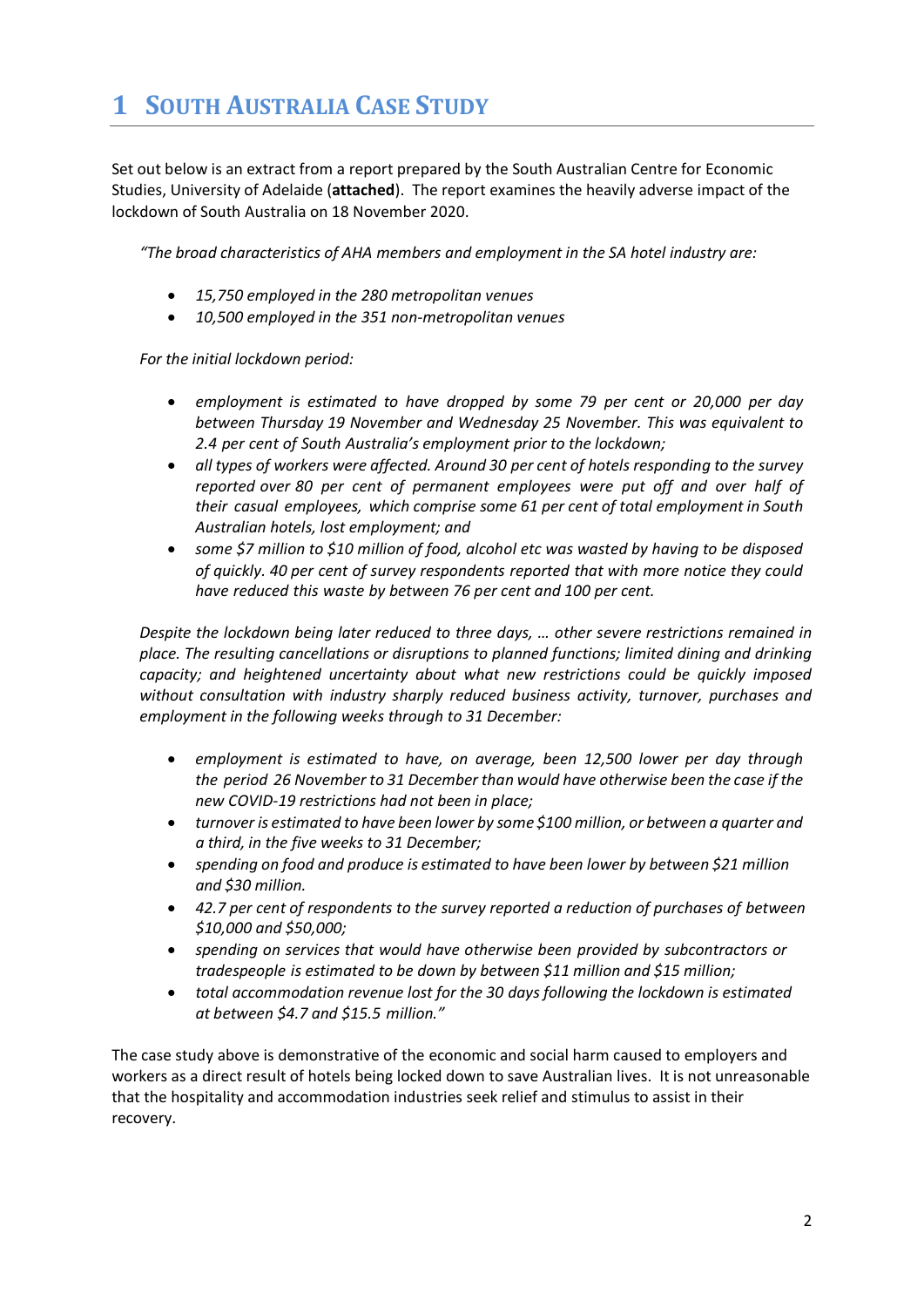# **1 SOUTH AUSTRALIA CASE STUDY**

Set out below is an extract from a report prepared by the South Australian Centre for Economic Studies, University of Adelaide (**attached**). The report examines the heavily adverse impact of the lockdown of South Australia on 18 November 2020.

*"The broad characteristics of AHA members and employment in the SA hotel industry are:*

- *15,750 employed in the 280 metropolitan venues*
- *10,500 employed in the 351 non-metropolitan venues*

*For the initial lockdown period:*

- *employment is estimated to have dropped by some 79 per cent or 20,000 per day between Thursday 19 November and Wednesday 25 November. This was equivalent to 2.4 per cent of South Australia's employment prior to the lockdown;*
- *all types of workers were affected. Around 30 per cent of hotels responding to the survey reported over 80 per cent of permanent employees were put off and over half of their casual employees, which comprise some 61 per cent of total employment in South Australian hotels, lost employment; and*
- *some \$7 million to \$10 million of food, alcohol etc was wasted by having to be disposed of quickly. 40 per cent of survey respondents reported that with more notice they could have reduced this waste by between 76 per cent and 100 per cent.*

*Despite the lockdown being later reduced to three days, … other severe restrictions remained in place. The resulting cancellations or disruptions to planned functions; limited dining and drinking capacity; and heightened uncertainty about what new restrictions could be quickly imposed without consultation with industry sharply reduced business activity, turnover, purchases and employment in the following weeks through to 31 December:*

- *employment is estimated to have, on average, been 12,500 lower per day through the period 26 November to 31 December than would have otherwise been the case if the new COVID-19 restrictions had not been in place;*
- *turnover is estimated to have been lower by some \$100 million, or between a quarter and a third, in the five weeks to 31 December;*
- *spending on food and produce is estimated to have been lower by between \$21 million and \$30 million.*
- *42.7 per cent of respondents to the survey reported a reduction of purchases of between \$10,000 and \$50,000;*
- *spending on services that would have otherwise been provided by subcontractors or tradespeople is estimated to be down by between \$11 million and \$15 million;*
- *total accommodation revenue lost for the 30 days following the lockdown is estimated at between \$4.7 and \$15.5 million."*

The case study above is demonstrative of the economic and social harm caused to employers and workers as a direct result of hotels being locked down to save Australian lives. It is not unreasonable that the hospitality and accommodation industries seek relief and stimulus to assist in their recovery.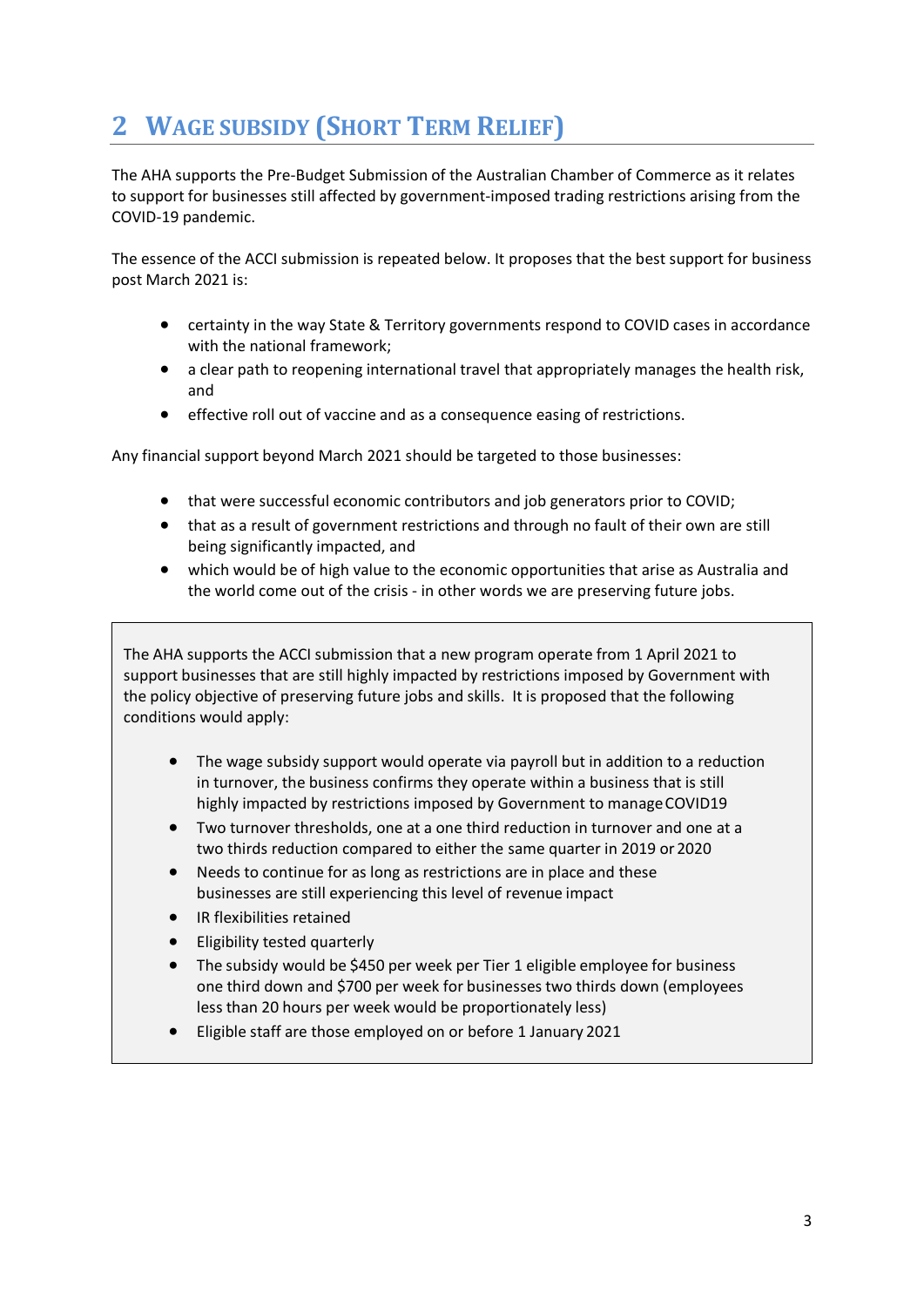# **2 WAGE SUBSIDY (SHORT TERM RELIEF)**

The AHA supports the Pre-Budget Submission of the Australian Chamber of Commerce as it relates to support for businesses still affected by government-imposed trading restrictions arising from the COVID-19 pandemic.

The essence of the ACCI submission is repeated below. It proposes that the best support for business post March 2021 is:

- certainty in the way State & Territory governments respond to COVID cases in accordance with the national framework;
- a clear path to reopening international travel that appropriately manages the health risk, and
- effective roll out of vaccine and as a consequence easing of restrictions.

Any financial support beyond March 2021 should be targeted to those businesses:

- that were successful economic contributors and job generators prior to COVID;
- that as a result of government restrictions and through no fault of their own are still being significantly impacted, and
- which would be of high value to the economic opportunities that arise as Australia and the world come out of the crisis - in other words we are preserving future jobs.

The AHA supports the ACCI submission that a new program operate from 1 April 2021 to support businesses that are still highly impacted by restrictions imposed by Government with the policy objective of preserving future jobs and skills. It is proposed that the following conditions would apply:

- The wage subsidy support would operate via payroll but in addition to a reduction in turnover, the business confirms they operate within a business that is still highly impacted by restrictions imposed by Government to manage COVID19
- Two turnover thresholds, one at a one third reduction in turnover and one at a two thirds reduction compared to either the same quarter in 2019 or 2020
- Needs to continue for as long as restrictions are in place and these businesses are still experiencing this level of revenue impact
- IR flexibilities retained
- Eligibility tested quarterly
- The subsidy would be \$450 per week per Tier 1 eligible employee for business one third down and \$700 per week for businesses two thirds down (employees less than 20 hours per week would be proportionately less)
- Eligible staff are those employed on or before 1 January 2021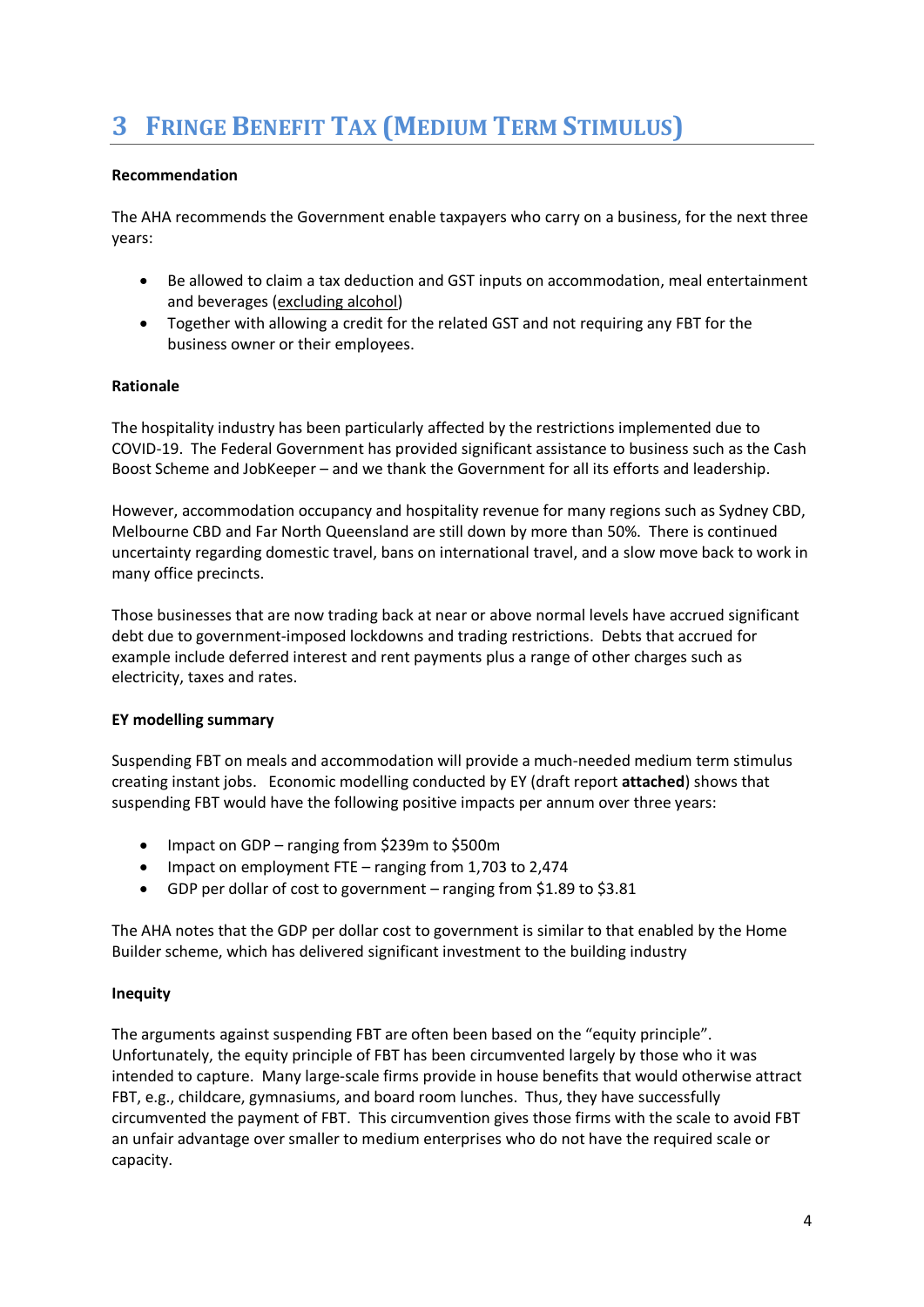# **3 FRINGE BENEFIT TAX (MEDIUM TERM STIMULUS)**

#### **Recommendation**

The AHA recommends the Government enable taxpayers who carry on a business, for the next three years:

- Be allowed to claim a tax deduction and GST inputs on accommodation, meal entertainment and beverages (excluding alcohol)
- Together with allowing a credit for the related GST and not requiring any FBT for the business owner or their employees.

#### **Rationale**

The hospitality industry has been particularly affected by the restrictions implemented due to COVID-19. The Federal Government has provided significant assistance to business such as the Cash Boost Scheme and JobKeeper – and we thank the Government for all its efforts and leadership.

However, accommodation occupancy and hospitality revenue for many regions such as Sydney CBD, Melbourne CBD and Far North Queensland are still down by more than 50%. There is continued uncertainty regarding domestic travel, bans on international travel, and a slow move back to work in many office precincts.

Those businesses that are now trading back at near or above normal levels have accrued significant debt due to government-imposed lockdowns and trading restrictions. Debts that accrued for example include deferred interest and rent payments plus a range of other charges such as electricity, taxes and rates.

#### **EY modelling summary**

Suspending FBT on meals and accommodation will provide a much-needed medium term stimulus creating instant jobs. Economic modelling conducted by EY (draft report **attached**) shows that suspending FBT would have the following positive impacts per annum over three years:

- Impact on GDP ranging from \$239m to \$500m
- Impact on employment FTE ranging from 1,703 to 2,474
- GDP per dollar of cost to government ranging from \$1.89 to \$3.81

The AHA notes that the GDP per dollar cost to government is similar to that enabled by the Home Builder scheme, which has delivered significant investment to the building industry

#### **Inequity**

The arguments against suspending FBT are often been based on the "equity principle". Unfortunately, the equity principle of FBT has been circumvented largely by those who it was intended to capture. Many large-scale firms provide in house benefits that would otherwise attract FBT, e.g., childcare, gymnasiums, and board room lunches. Thus, they have successfully circumvented the payment of FBT. This circumvention gives those firms with the scale to avoid FBT an unfair advantage over smaller to medium enterprises who do not have the required scale or capacity.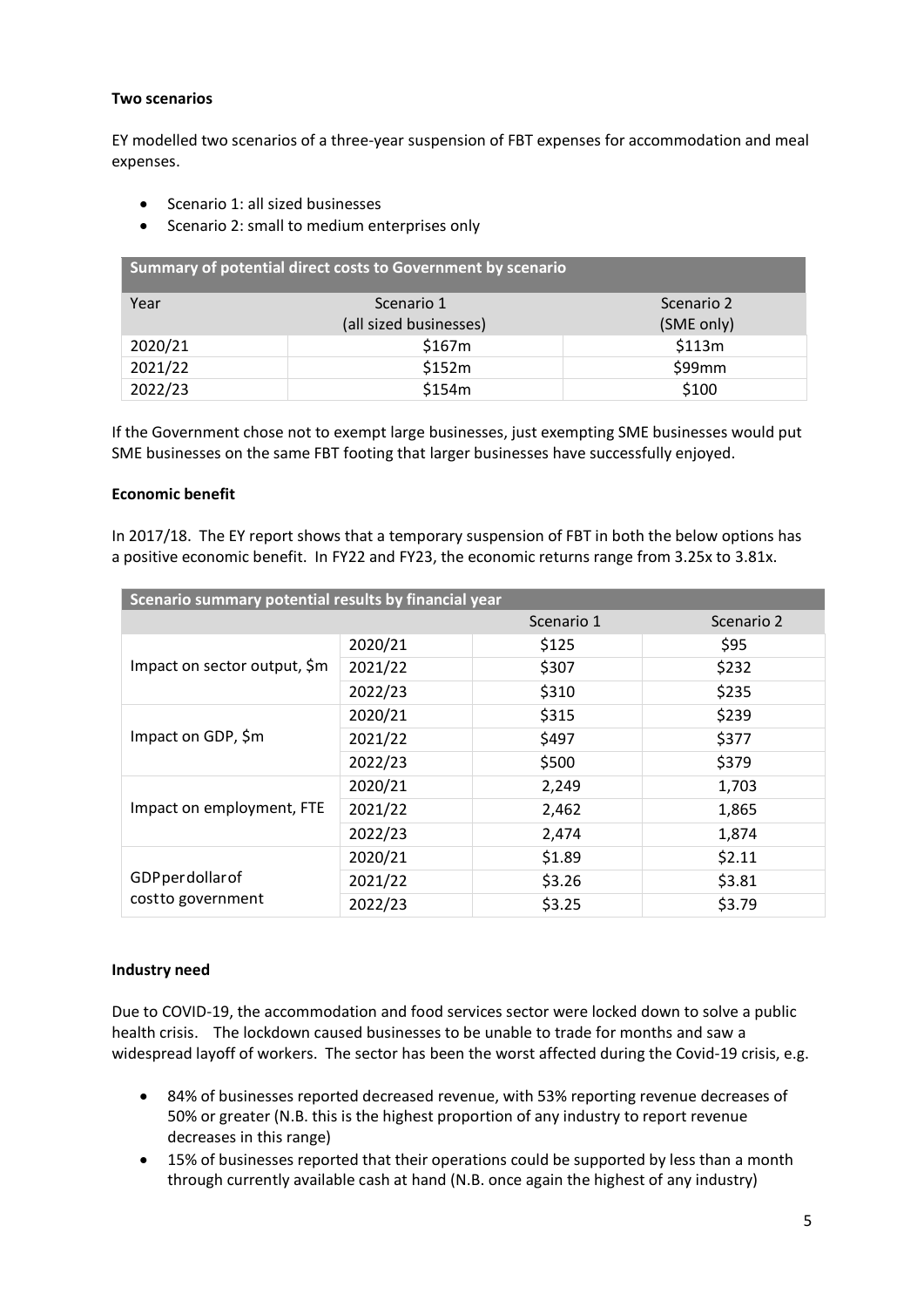#### **Two scenarios**

EY modelled two scenarios of a three-year suspension of FBT expenses for accommodation and meal expenses.

- Scenario 1: all sized businesses
- Scenario 2: small to medium enterprises only

| Summary of potential direct costs to Government by scenario |                        |            |  |  |
|-------------------------------------------------------------|------------------------|------------|--|--|
| Year                                                        | Scenario 1             | Scenario 2 |  |  |
|                                                             | (all sized businesses) | (SME only) |  |  |
| 2020/21                                                     | \$167m                 | \$113m     |  |  |
| 2021/22                                                     | \$152m                 | \$99mm     |  |  |
| 2022/23                                                     | \$154m                 | \$100      |  |  |

If the Government chose not to exempt large businesses, just exempting SME businesses would put SME businesses on the same FBT footing that larger businesses have successfully enjoyed.

#### **Economic benefit**

In 2017/18. The EY report shows that a temporary suspension of FBT in both the below options has a positive economic benefit. In FY22 and FY23, the economic returns range from 3.25x to 3.81x.

| Scenario summary potential results by financial year |         |            |            |  |
|------------------------------------------------------|---------|------------|------------|--|
|                                                      |         | Scenario 1 | Scenario 2 |  |
|                                                      | 2020/21 | \$125      | \$95       |  |
| Impact on sector output, \$m                         | 2021/22 | \$307      | \$232      |  |
|                                                      | 2022/23 | \$310      | \$235      |  |
| Impact on GDP, \$m                                   | 2020/21 | \$315      | \$239      |  |
|                                                      | 2021/22 | \$497      | \$377      |  |
|                                                      | 2022/23 | \$500      | \$379      |  |
| Impact on employment, FTE                            | 2020/21 | 2,249      | 1,703      |  |
|                                                      | 2021/22 | 2,462      | 1,865      |  |
|                                                      | 2022/23 | 2,474      | 1,874      |  |
|                                                      | 2020/21 | \$1.89     | \$2.11     |  |
| GDPperdollarof                                       | 2021/22 | \$3.26     | \$3.81     |  |
| cost to government                                   | 2022/23 | \$3.25     | \$3.79     |  |

#### **Industry need**

Due to COVID-19, the accommodation and food services sector were locked down to solve a public health crisis. The lockdown caused businesses to be unable to trade for months and saw a widespread layoff of workers. The sector has been the worst affected during the Covid-19 crisis, e.g.

- 84% of businesses reported decreased revenue, with 53% reporting revenue decreases of 50% or greater (N.B. this is the highest proportion of any industry to report revenue decreases in this range)
- 15% of businesses reported that their operations could be supported by less than a month through currently available cash at hand (N.B. once again the highest of any industry)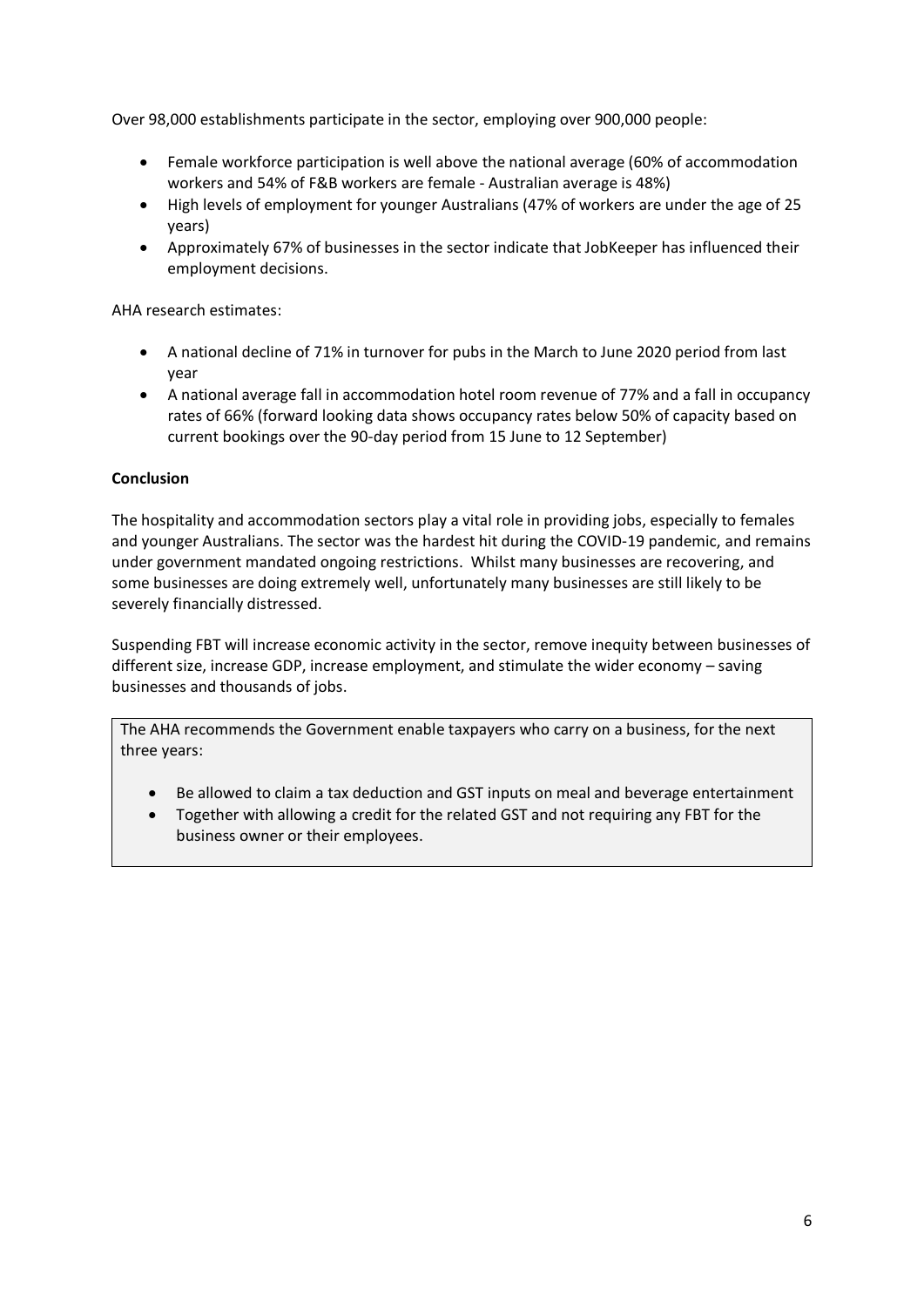Over 98,000 establishments participate in the sector, employing over 900,000 people:

- Female workforce participation is well above the national average (60% of accommodation workers and 54% of F&B workers are female - Australian average is 48%)
- High levels of employment for younger Australians (47% of workers are under the age of 25 years)
- Approximately 67% of businesses in the sector indicate that JobKeeper has influenced their employment decisions.

AHA research estimates:

- A national decline of 71% in turnover for pubs in the March to June 2020 period from last year
- A national average fall in accommodation hotel room revenue of 77% and a fall in occupancy rates of 66% (forward looking data shows occupancy rates below 50% of capacity based on current bookings over the 90-day period from 15 June to 12 September)

#### **Conclusion**

The hospitality and accommodation sectors play a vital role in providing jobs, especially to females and younger Australians. The sector was the hardest hit during the COVID-19 pandemic, and remains under government mandated ongoing restrictions. Whilst many businesses are recovering, and some businesses are doing extremely well, unfortunately many businesses are still likely to be severely financially distressed.

Suspending FBT will increase economic activity in the sector, remove inequity between businesses of different size, increase GDP, increase employment, and stimulate the wider economy – saving businesses and thousands of jobs.

The AHA recommends the Government enable taxpayers who carry on a business, for the next three years:

- Be allowed to claim a tax deduction and GST inputs on meal and beverage entertainment
- Together with allowing a credit for the related GST and not requiring any FBT for the business owner or their employees.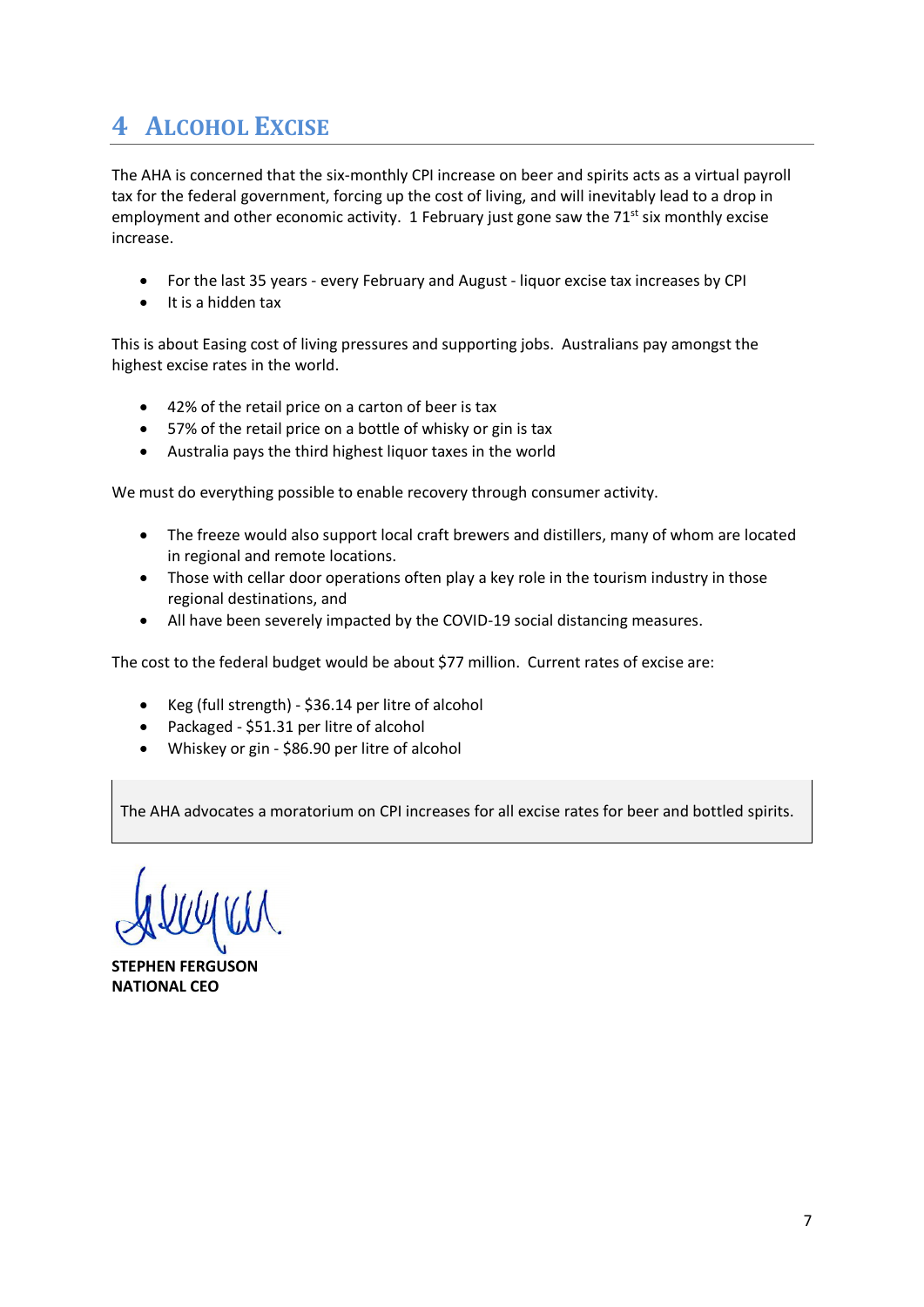# **4 ALCOHOL EXCISE**

The AHA is concerned that the six-monthly CPI increase on beer and spirits acts as a virtual payroll tax for the federal government, forcing up the cost of living, and will inevitably lead to a drop in employment and other economic activity. 1 February just gone saw the  $71<sup>st</sup>$  six monthly excise increase.

- For the last 35 years every February and August liquor excise tax increases by CPI
- It is a hidden tax

This is about Easing cost of living pressures and supporting jobs. Australians pay amongst the highest excise rates in the world.

- 42% of the retail price on a carton of beer is tax
- 57% of the retail price on a bottle of whisky or gin is tax
- Australia pays the third highest liquor taxes in the world

We must do everything possible to enable recovery through consumer activity.

- The freeze would also support local craft brewers and distillers, many of whom are located in regional and remote locations.
- Those with cellar door operations often play a key role in the tourism industry in those regional destinations, and
- All have been severely impacted by the COVID-19 social distancing measures.

The cost to the federal budget would be about \$77 million. Current rates of excise are:

- Keg (full strength) \$36.14 per litre of alcohol
- Packaged \$51.31 per litre of alcohol
- Whiskey or gin \$86.90 per litre of alcohol

The AHA advocates a moratorium on CPI increases for all excise rates for beer and bottled spirits.

**STEPHEN FERGUSON NATIONAL CEO**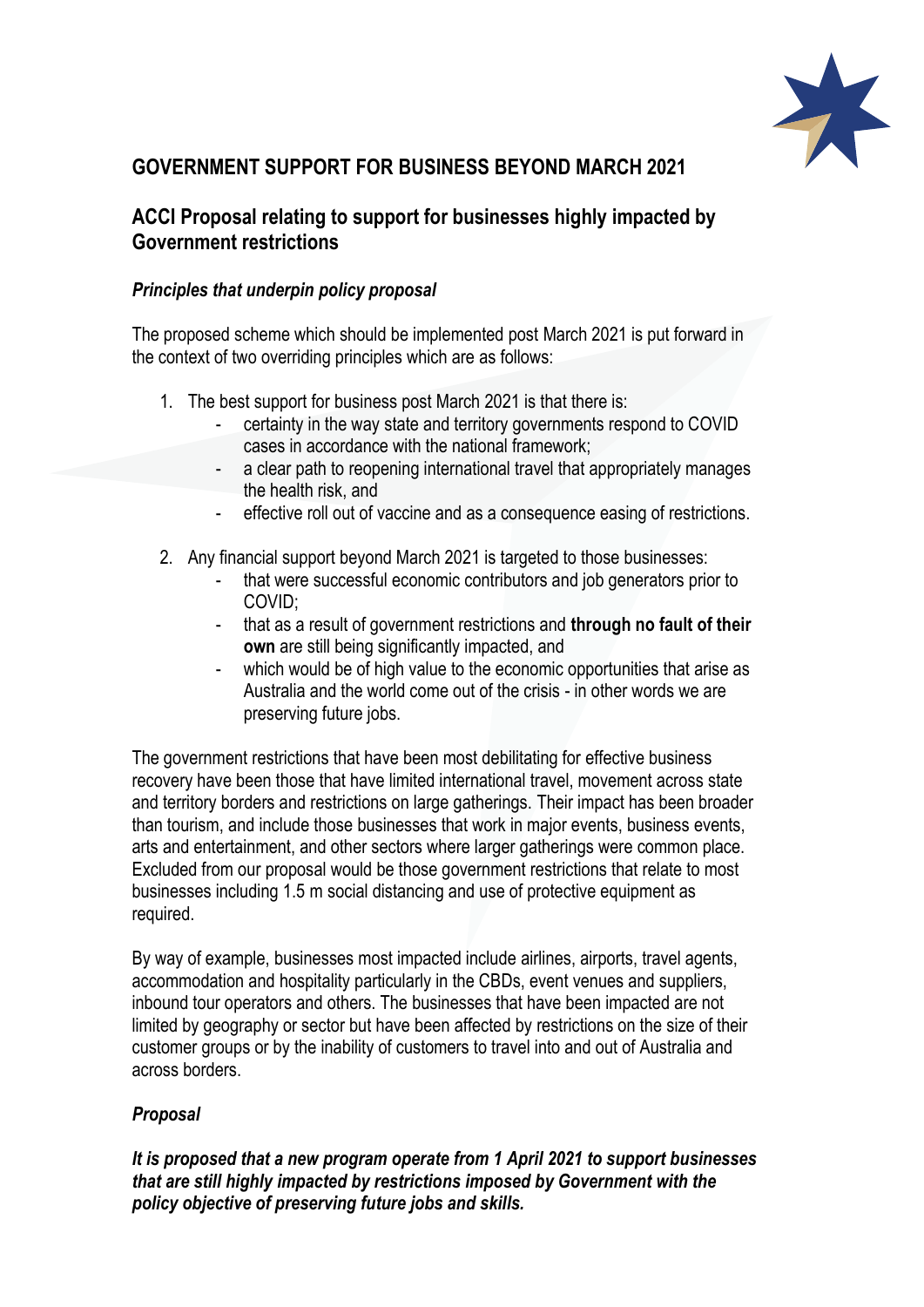

### **GOVERNMENT SUPPORT FOR BUSINESS BEYOND MARCH 2021**

### **ACCI Proposal relating to support for businesses highly impacted by Government restrictions**

### *Principles that underpin policy proposal*

The proposed scheme which should be implemented post March 2021 is put forward in the context of two overriding principles which are as follows:

- 1. The best support for business post March 2021 is that there is:
	- certainty in the way state and territory governments respond to COVID cases in accordance with the national framework;
	- a clear path to reopening international travel that appropriately manages the health risk, and
	- effective roll out of vaccine and as a consequence easing of restrictions.
- 2. Any financial support beyond March 2021 is targeted to those businesses:
	- that were successful economic contributors and job generators prior to COVID;
	- that as a result of government restrictions and **through no fault of their own** are still being significantly impacted, and
	- which would be of high value to the economic opportunities that arise as Australia and the world come out of the crisis - in other words we are preserving future jobs.

The government restrictions that have been most debilitating for effective business recovery have been those that have limited international travel, movement across state and territory borders and restrictions on large gatherings. Their impact has been broader than tourism, and include those businesses that work in major events, business events, arts and entertainment, and other sectors where larger gatherings were common place. Excluded from our proposal would be those government restrictions that relate to most businesses including 1.5 m social distancing and use of protective equipment as required.

By way of example, businesses most impacted include airlines, airports, travel agents, accommodation and hospitality particularly in the CBDs, event venues and suppliers, inbound tour operators and others. The businesses that have been impacted are not limited by geography or sector but have been affected by restrictions on the size of their customer groups or by the inability of customers to travel into and out of Australia and across borders.

### *Proposal*

*It is proposed that a new program operate from 1 April 2021 to support businesses that are still highly impacted by restrictions imposed by Government with the policy objective of preserving future jobs and skills.*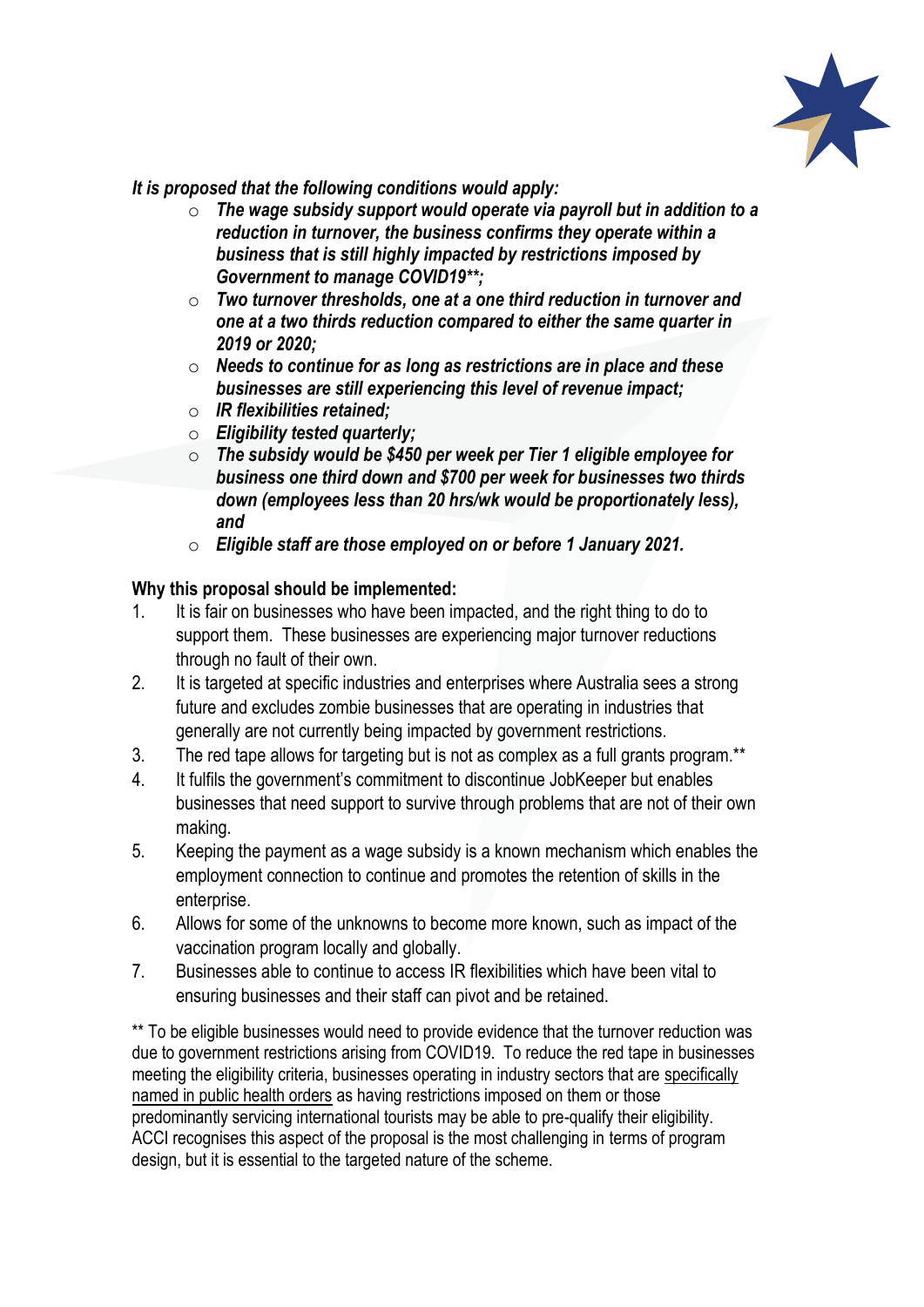

*It is proposed that the following conditions would apply:*

- o *The wage subsidy support would operate via payroll but in addition to a reduction in turnover, the business confirms they operate within a business that is still highly impacted by restrictions imposed by Government to manage COVID19\*\*;*
- o *Two turnover thresholds, one at a one third reduction in turnover and one at a two thirds reduction compared to either the same quarter in 2019 or 2020;*
- o *Needs to continue for as long as restrictions are in place and these businesses are still experiencing this level of revenue impact;*
- o *IR flexibilities retained;*
- o *Eligibility tested quarterly;*
- o *The subsidy would be \$450 per week per Tier 1 eligible employee for business one third down and \$700 per week for businesses two thirds down (employees less than 20 hrs/wk would be proportionately less), and*
- o *Eligible staff are those employed on or before 1 January 2021.*

### **Why this proposal should be implemented:**

- 1. It is fair on businesses who have been impacted, and the right thing to do to support them. These businesses are experiencing major turnover reductions through no fault of their own.
- 2. It is targeted at specific industries and enterprises where Australia sees a strong future and excludes zombie businesses that are operating in industries that generally are not currently being impacted by government restrictions.
- 3. The red tape allows for targeting but is not as complex as a full grants program.\*\*
- 4. It fulfils the government's commitment to discontinue JobKeeper but enables businesses that need support to survive through problems that are not of their own making.
- 5. Keeping the payment as a wage subsidy is a known mechanism which enables the employment connection to continue and promotes the retention of skills in the enterprise.
- 6. Allows for some of the unknowns to become more known, such as impact of the vaccination program locally and globally.
- 7. Businesses able to continue to access IR flexibilities which have been vital to ensuring businesses and their staff can pivot and be retained.

\*\* To be eligible businesses would need to provide evidence that the turnover reduction was due to government restrictions arising from COVID19. To reduce the red tape in businesses meeting the eligibility criteria, businesses operating in industry sectors that are specifically named in public health orders as having restrictions imposed on them or those predominantly servicing international tourists may be able to pre-qualify their eligibility. ACCI recognises this aspect of the proposal is the most challenging in terms of program design, but it is essential to the targeted nature of the scheme.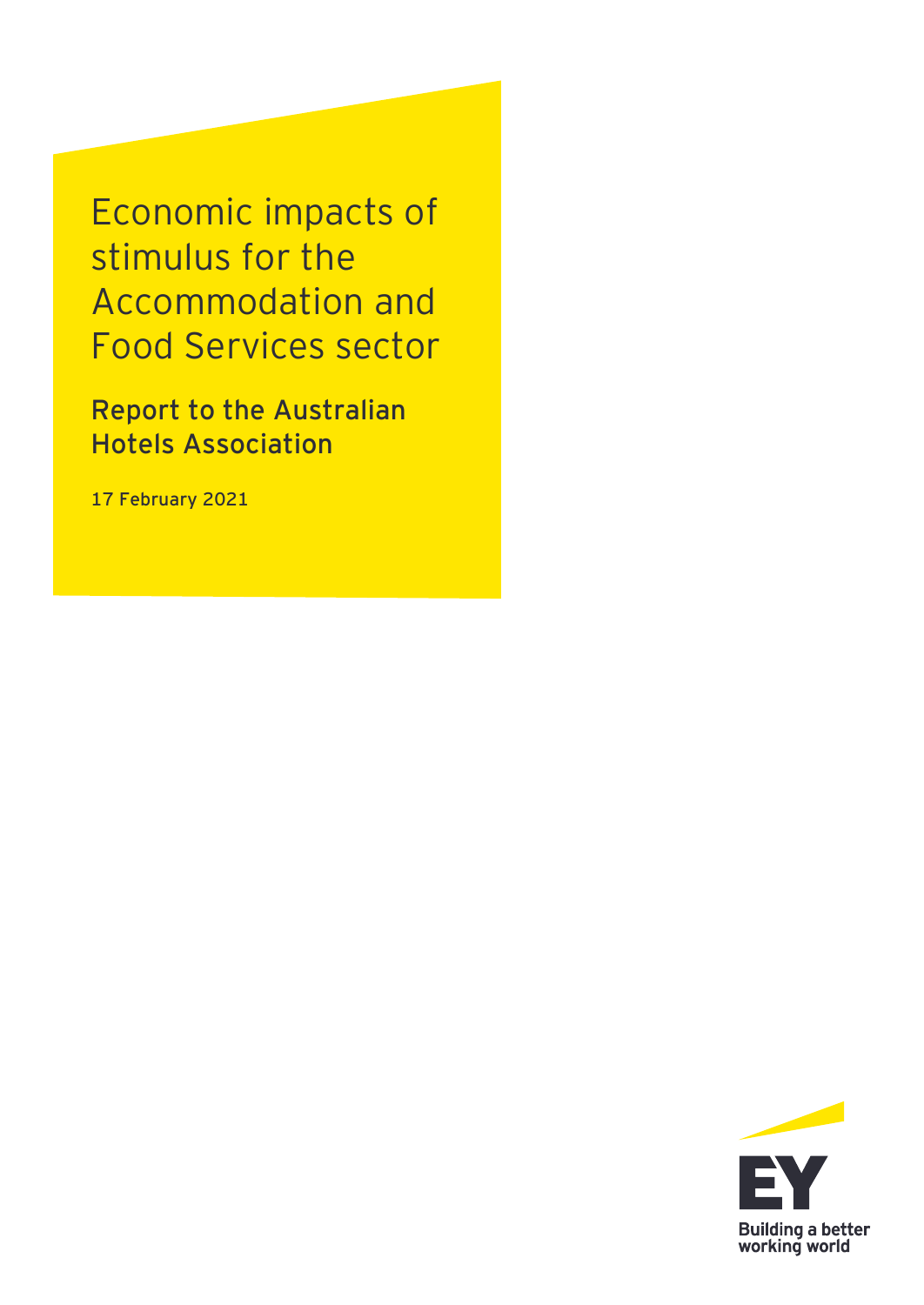Economic impacts of stimulus for the Accommodation and Food Services sector

**Report to the Australian Hotels Association**

**17 February 2021**

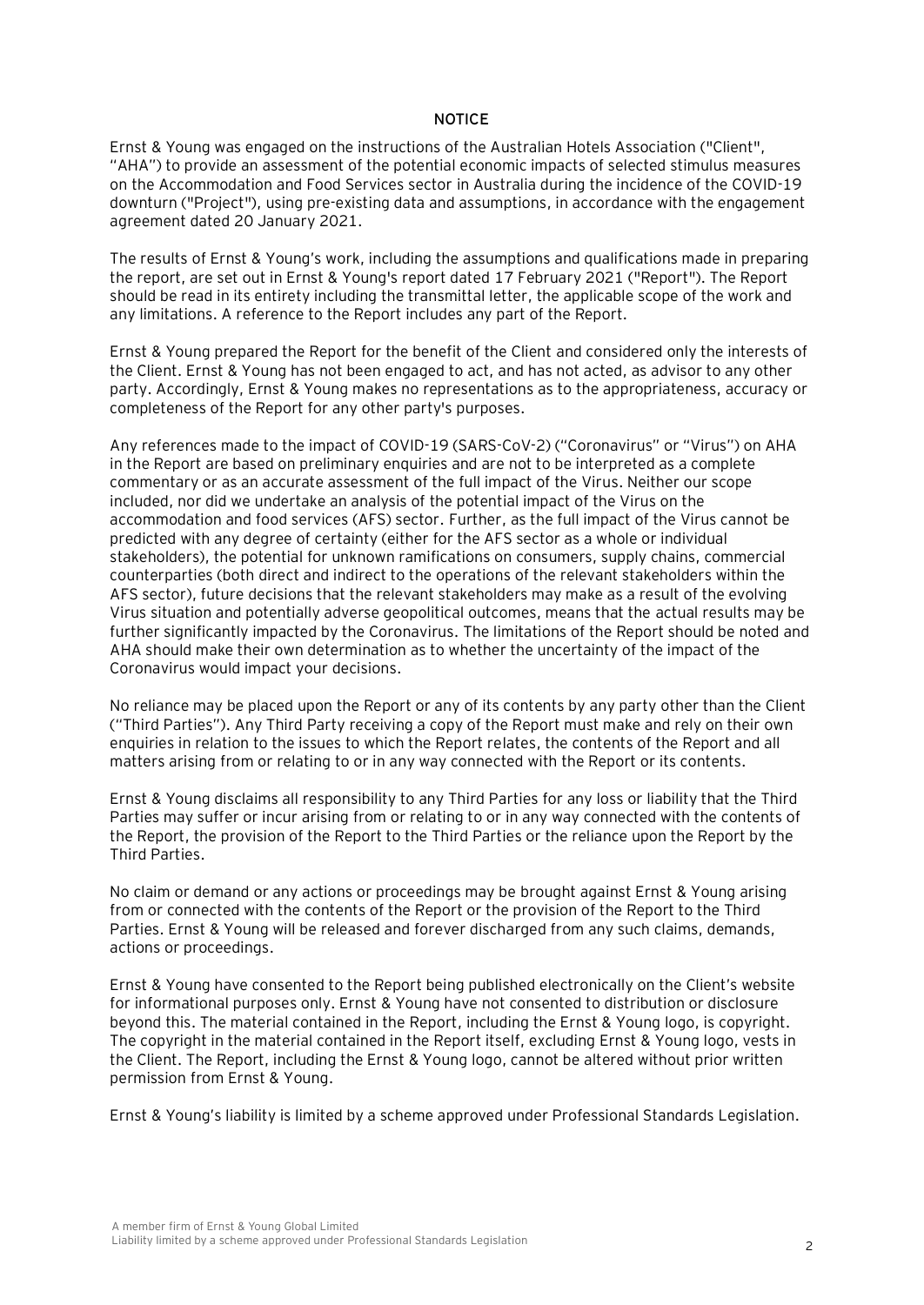#### **NOTICE**

Ernst & Young was engaged on the instructions of the Australian Hotels Association ("Client", "AHA") to provide an assessment of the potential economic impacts of selected stimulus measures on the Accommodation and Food Services sector in Australia during the incidence of the COVID-19 downturn ("Project"), using pre-existing data and assumptions, in accordance with the engagement agreement dated 20 January 2021.

The results of Ernst & Young's work, including the assumptions and qualifications made in preparing the report, are set out in Ernst & Young's report dated 17 February 2021 ("Report"). The Report should be read in its entirety including the transmittal letter, the applicable scope of the work and any limitations. A reference to the Report includes any part of the Report.

Ernst & Young prepared the Report for the benefit of the Client and considered only the interests of the Client. Ernst & Young has not been engaged to act, and has not acted, as advisor to any other party. Accordingly, Ernst & Young makes no representations as to the appropriateness, accuracy or completeness of the Report for any other party's purposes.

Any references made to the impact of COVID-19 (SARS-CoV-2) ("Coronavirus" or "Virus") on AHA in the Report are based on preliminary enquiries and are not to be interpreted as a complete commentary or as an accurate assessment of the full impact of the Virus. Neither our scope included, nor did we undertake an analysis of the potential impact of the Virus on the accommodation and food services (AFS) sector. Further, as the full impact of the Virus cannot be predicted with any degree of certainty (either for the AFS sector as a whole or individual stakeholders), the potential for unknown ramifications on consumers, supply chains, commercial counterparties (both direct and indirect to the operations of the relevant stakeholders within the AFS sector), future decisions that the relevant stakeholders may make as a result of the evolving Virus situation and potentially adverse geopolitical outcomes, means that the actual results may be further significantly impacted by the Coronavirus. The limitations of the Report should be noted and AHA should make their own determination as to whether the uncertainty of the impact of the Coronavirus would impact your decisions.

No reliance may be placed upon the Report or any of its contents by any party other than the Client ("Third Parties"). Any Third Party receiving a copy of the Report must make and rely on their own enquiries in relation to the issues to which the Report relates, the contents of the Report and all matters arising from or relating to or in any way connected with the Report or its contents.

Ernst & Young disclaims all responsibility to any Third Parties for any loss or liability that the Third Parties may suffer or incur arising from or relating to or in any way connected with the contents of the Report, the provision of the Report to the Third Parties or the reliance upon the Report by the Third Parties.

No claim or demand or any actions or proceedings may be brought against Ernst & Young arising from or connected with the contents of the Report or the provision of the Report to the Third Parties. Ernst & Young will be released and forever discharged from any such claims, demands, actions or proceedings.

Ernst & Young have consented to the Report being published electronically on the Client's website for informational purposes only. Ernst & Young have not consented to distribution or disclosure beyond this. The material contained in the Report, including the Ernst & Young logo, is copyright. The copyright in the material contained in the Report itself, excluding Ernst & Young logo, vests in the Client. The Report, including the Ernst & Young logo, cannot be altered without prior written permission from Ernst & Young.

Ernst & Young's liability is limited by a scheme approved under Professional Standards Legislation.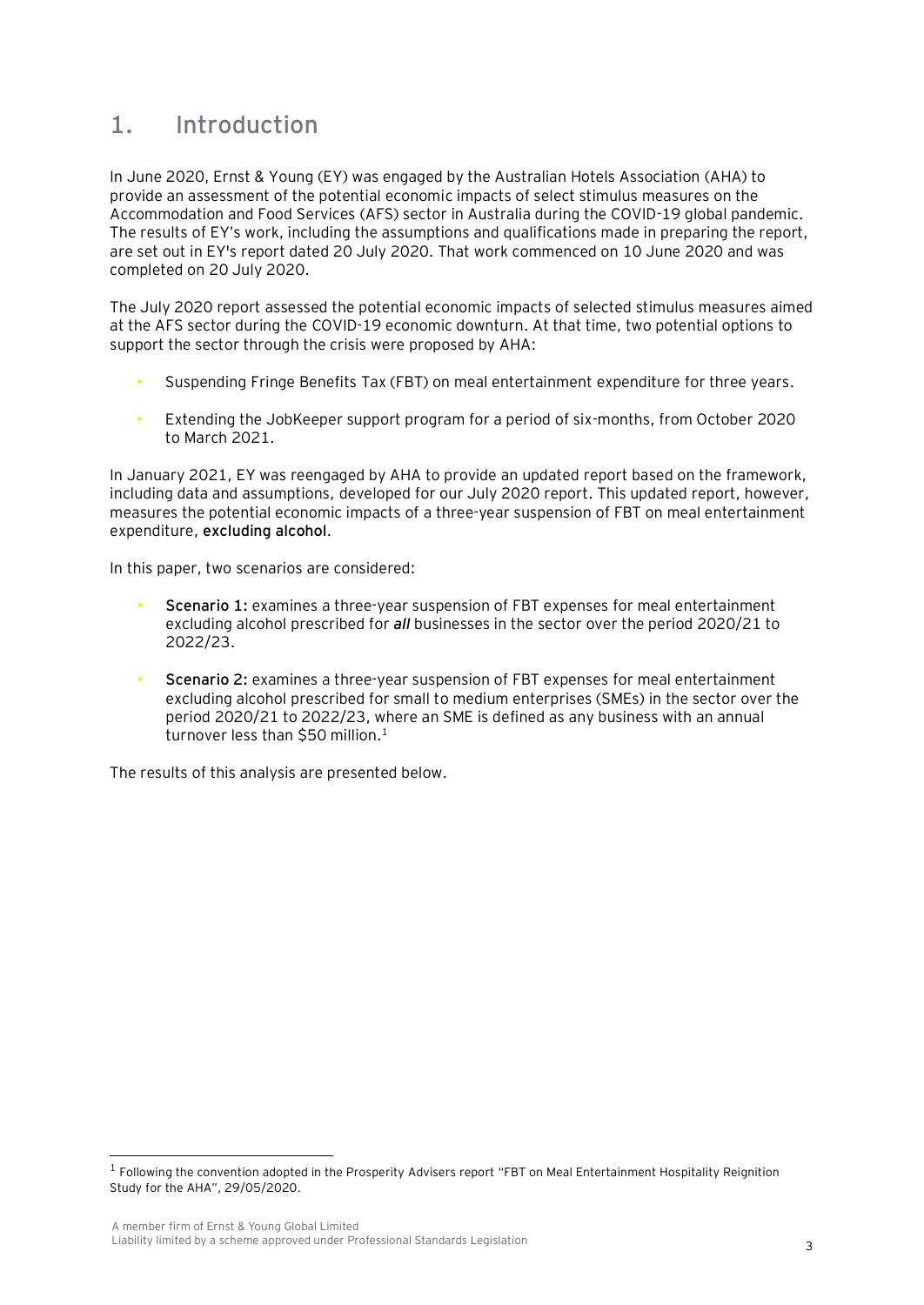## **1. Introduction**

In June 2020, Ernst & Young (EY) was engaged by the Australian Hotels Association (AHA) to provide an assessment of the potential economic impacts of select stimulus measures on the Accommodation and Food Services (AFS) sector in Australia during the COVID-19 global pandemic. The results of EY's work, including the assumptions and qualifications made in preparing the report, are set out in EY's report dated 20 July 2020. That work commenced on 10 June 2020 and was completed on 20 July 2020.

The July 2020 report assessed the potential economic impacts of selected stimulus measures aimed at the AFS sector during the COVID-19 economic downturn. At that time, two potential options to support the sector through the crisis were proposed by AHA:

- Suspending Fringe Benefits Tax (FBT) on meal entertainment expenditure for three years.
- Extending the JobKeeper support program for a period of six-months, from October 2020 to March 2021.

In January 2021, EY was reengaged by AHA to provide an updated report based on the framework, including data and assumptions, developed for our July 2020 report. This updated report, however, measures the potential economic impacts of a three-year suspension of FBT on meal entertainment expenditure, **excluding alcohol**.

In this paper, two scenarios are considered:

- **Scenario 1:** examines a three-year suspension of FBT expenses for meal entertainment excluding alcohol prescribed for *all* businesses in the sector over the period 2020/21 to 2022/23.
- **Scenario 2:** examines a three-year suspension of FBT expenses for meal entertainment excluding alcohol prescribed for small to medium enterprises (SMEs) in the sector over the period 2020/21 to 2022/23, where an SME is defined as any business with an annual turnover less than \$50 million.<sup>1</sup>

The results of this analysis are presented below.

<sup>&</sup>lt;sup>1</sup> Following the convention adopted in the Prosperity Advisers report "FBT on Meal Entertainment Hospitality Reignition Study for the AHA", 29/05/2020.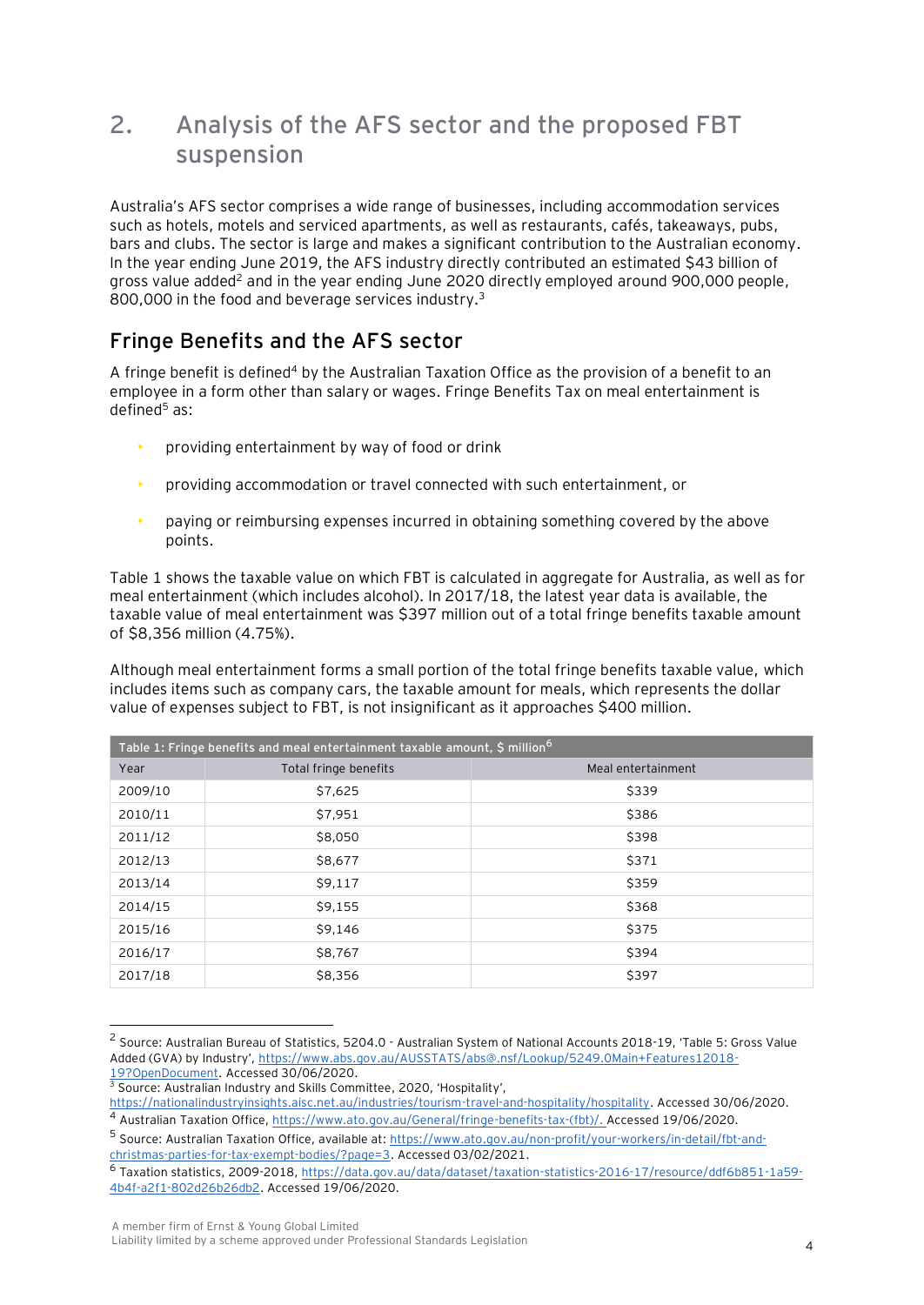## **2. Analysis of the AFS sector and the proposed FBT suspension**

Australia's AFS sector comprises a wide range of businesses, including accommodation services such as hotels, motels and serviced apartments, as well as restaurants, cafés, takeaways, pubs, bars and clubs. The sector is large and makes a significant contribution to the Australian economy. In the year ending June 2019, the AFS industry directly contributed an estimated \$43 billion of gross value added<sup>2</sup> and in the year ending June 2020 directly employed around 900,000 people, 800,000 in the food and beverage services industry.<sup>3</sup>

## **Fringe Benefits and the AFS sector**

A fringe benefit is defined<sup>4</sup> by the Australian Taxation Office as the provision of a benefit to an employee in a form other than salary or wages. Fringe Benefits Tax on meal entertainment is defined <sup>5</sup> as:

- providing entertainment by way of food or drink
- providing accommodation or travel connected with such entertainment, or
- paying or reimbursing expenses incurred in obtaining something covered by the above points.

Table 1 shows the taxable value on which FBT is calculated in aggregate for Australia, as well as for meal entertainment (which includes alcohol). In 2017/18, the latest year data is available, the taxable value of meal entertainment was \$397 million out of a total fringe benefits taxable amount of \$8,356 million (4.75%).

Although meal entertainment forms a small portion of the total fringe benefits taxable value, which includes items such as company cars, the taxable amount for meals, which represents the dollar value of expenses subject to FBT, is not insignificant as it approaches \$400 million.

| Table 1: Fringe benefits and meal entertainment taxable amount, \$ million <sup>6</sup> |                       |                    |  |  |
|-----------------------------------------------------------------------------------------|-----------------------|--------------------|--|--|
| Year                                                                                    | Total fringe benefits | Meal entertainment |  |  |
| 2009/10                                                                                 | \$7,625               | \$339              |  |  |
| 2010/11                                                                                 | \$7,951               | \$386              |  |  |
| 2011/12                                                                                 | \$8,050               | \$398              |  |  |
| 2012/13                                                                                 | \$8,677               | \$371              |  |  |
| 2013/14                                                                                 | \$9,117               | \$359              |  |  |
| 2014/15                                                                                 | \$9,155               | \$368              |  |  |
| 2015/16                                                                                 | \$9,146               | \$375              |  |  |
| 2016/17                                                                                 | \$8,767               | \$394              |  |  |
| 2017/18                                                                                 | \$8,356               | \$397              |  |  |

<sup>2</sup> Source: Australian Bureau of Statistics, 5204.0 - Australian System of National Accounts 2018-19, 'Table 5: Gross Value Added (GVA) by Industry', [https://www.abs.gov.au/AUSSTATS/abs@.nsf/Lookup/5249.0Main+Features12018-](https://www.abs.gov.au/AUSSTATS/abs@.nsf/Lookup/5249.0Main+Features12018-19?OpenDocument) [19?OpenDocument.](https://www.abs.gov.au/AUSSTATS/abs@.nsf/Lookup/5249.0Main+Features12018-19?OpenDocument) Accessed 30/06/2020.

<sup>&</sup>lt;sup>3</sup> Source: Australian Industry and Skills Committee, 2020, 'Hospitality',

[https://nationalindustryinsights.aisc.net.au/industries/tourism-travel-and-hospitality/hospitality.](https://nationalindustryinsights.aisc.net.au/industries/tourism-travel-and-hospitality/hospitality) Accessed 30/06/2020. <sup>4</sup> Australian Taxation Office, [https://www.ato.gov.au/General/fringe-benefits-tax-\(fbt\)/.](https://www.ato.gov.au/General/fringe-benefits-tax-(fbt)/) Accessed 19/06/2020.

<sup>5</sup> Source: Australian Taxation Office, available at[: https://www.ato.gov.au/non-profit/your-workers/in-detail/fbt-and](https://www.ato.gov.au/non-profit/your-workers/in-detail/fbt-and-christmas-parties-for-tax-exempt-bodies/?page=3)[christmas-parties-for-tax-exempt-bodies/?page=3.](https://www.ato.gov.au/non-profit/your-workers/in-detail/fbt-and-christmas-parties-for-tax-exempt-bodies/?page=3) Accessed 03/02/2021.

<sup>6</sup> Taxation statistics, 2009-2018[, https://data.gov.au/data/dataset/taxation-statistics-2016-17/resource/ddf6b851-1a59-](https://data.gov.au/data/dataset/taxation-statistics-2016-17/resource/ddf6b851-1a59-4b4f-a2f1-802d26b26db2) [4b4f-a2f1-802d26b26db2.](https://data.gov.au/data/dataset/taxation-statistics-2016-17/resource/ddf6b851-1a59-4b4f-a2f1-802d26b26db2) Accessed 19/06/2020.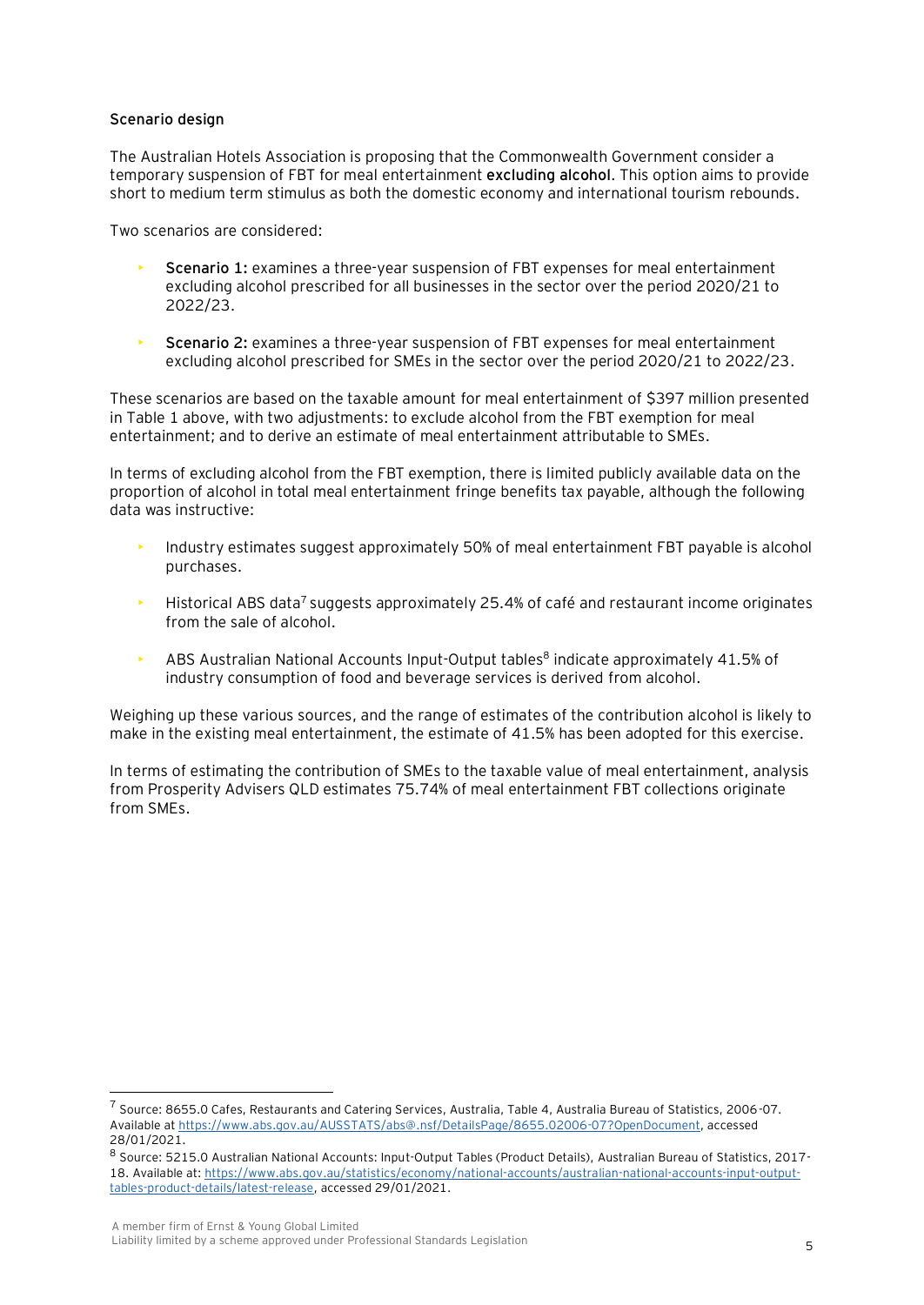#### **Scenario design**

The Australian Hotels Association is proposing that the Commonwealth Government consider a temporary suspension of FBT for meal entertainment **excluding alcohol**. This option aims to provide short to medium term stimulus as both the domestic economy and international tourism rebounds.

Two scenarios are considered:

- **Scenario 1:** examines a three-year suspension of FBT expenses for meal entertainment excluding alcohol prescribed for all businesses in the sector over the period 2020/21 to 2022/23.
- **Scenario 2:** examines a three-year suspension of FBT expenses for meal entertainment excluding alcohol prescribed for SMEs in the sector over the period 2020/21 to 2022/23.

These scenarios are based on the taxable amount for meal entertainment of \$397 million presented in Table 1 above, with two adjustments: to exclude alcohol from the FBT exemption for meal entertainment; and to derive an estimate of meal entertainment attributable to SMEs.

In terms of excluding alcohol from the FBT exemption, there is limited publicly available data on the proportion of alcohol in total meal entertainment fringe benefits tax payable, although the following data was instructive:

- Industry estimates suggest approximately 50% of meal entertainment FBT payable is alcohol purchases.
- $\blacktriangleright$  Historical ABS data<sup>7</sup> suggests approximately 25.4% of café and restaurant income originates from the sale of alcohol.
- **ABS Australian National Accounts Input-Output tables**<sup>8</sup> indicate approximately 41.5% of industry consumption of food and beverage services is derived from alcohol.

Weighing up these various sources, and the range of estimates of the contribution alcohol is likely to make in the existing meal entertainment, the estimate of 41.5% has been adopted for this exercise.

In terms of estimating the contribution of SMEs to the taxable value of meal entertainment, analysis from Prosperity Advisers QLD estimates 75.74% of meal entertainment FBT collections originate from SMEs.

<sup>7</sup> Source: 8655.0 Cafes, Restaurants and Catering Services, Australia, Table 4, Australia Bureau of Statistics, 2006-07. Available a[t https://www.abs.gov.au/AUSSTATS/abs@.nsf/DetailsPage/8655.02006-07?OpenDocument,](https://www.abs.gov.au/AUSSTATS/abs@.nsf/DetailsPage/8655.02006-07?OpenDocument) accessed 28/01/2021.

<sup>8</sup> Source: 5215.0 Australian National Accounts: Input-Output Tables (Product Details), Australian Bureau of Statistics, 2017-18. Available at: [https://www.abs.gov.au/statistics/economy/national-accounts/australian-national-accounts-input-output](https://www.abs.gov.au/statistics/economy/national-accounts/australian-national-accounts-input-output-tables-product-details/latest-release)[tables-product-details/latest-release,](https://www.abs.gov.au/statistics/economy/national-accounts/australian-national-accounts-input-output-tables-product-details/latest-release) accessed 29/01/2021.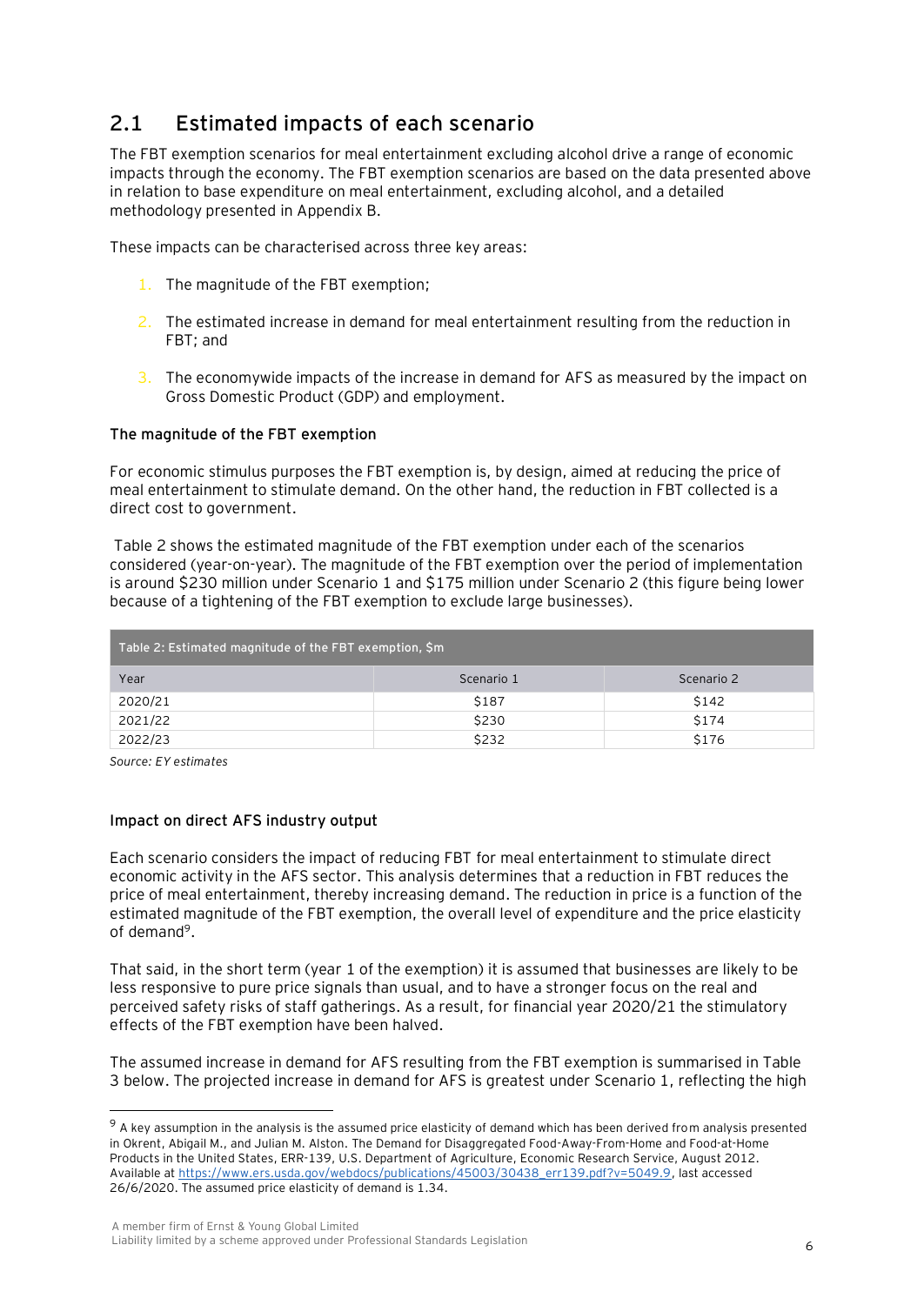## **2.1 Estimated impacts of each scenario**

The FBT exemption scenarios for meal entertainment excluding alcohol drive a range of economic impacts through the economy. The FBT exemption scenarios are based on the data presented above in relation to base expenditure on meal entertainment, excluding alcohol, and a detailed methodology presented in Appendix B.

These impacts can be characterised across three key areas:

- 1. The magnitude of the FBT exemption;
- 2. The estimated increase in demand for meal entertainment resulting from the reduction in FBT; and
- 3. The economywide impacts of the increase in demand for AFS as measured by the impact on Gross Domestic Product (GDP) and employment.

#### **The magnitude of the FBT exemption**

For economic stimulus purposes the FBT exemption is, by design, aimed at reducing the price of meal entertainment to stimulate demand. On the other hand, the reduction in FBT collected is a direct cost to government.

Table 2 shows the estimated magnitude of the FBT exemption under each of the scenarios considered (year-on-year). The magnitude of the FBT exemption over the period of implementation is around \$230 million under Scenario 1 and \$175 million under Scenario 2 (this figure being lower because of a tightening of the FBT exemption to exclude large businesses).

| Table 2: Estimated magnitude of the FBT exemption, \$m |            |            |  |  |
|--------------------------------------------------------|------------|------------|--|--|
| Year                                                   | Scenario 1 | Scenario 2 |  |  |
| 2020/21                                                | \$187      | \$142      |  |  |
| 2021/22                                                | \$230      | \$174      |  |  |
| 2022/23                                                | \$232      | \$176      |  |  |

*Source: EY estimates*

#### **Impact on direct AFS industry output**

Each scenario considers the impact of reducing FBT for meal entertainment to stimulate direct economic activity in the AFS sector. This analysis determines that a reduction in FBT reduces the price of meal entertainment, thereby increasing demand. The reduction in price is a function of the estimated magnitude of the FBT exemption, the overall level of expenditure and the price elasticity of demand<sup>9</sup>.

That said, in the short term (year 1 of the exemption) it is assumed that businesses are likely to be less responsive to pure price signals than usual, and to have a stronger focus on the real and perceived safety risks of staff gatherings. As a result, for financial year 2020/21 the stimulatory effects of the FBT exemption have been halved.

The assumed increase in demand for AFS resulting from the FBT exemption is summarised in Table 3 below. The projected increase in demand for AFS is greatest under Scenario 1, reflecting the high

<sup>&</sup>lt;sup>9</sup> A key assumption in the analysis is the assumed price elasticity of demand which has been derived from analysis presented in Okrent, Abigail M., and Julian M. Alston. The Demand for Disaggregated Food-Away-From-Home and Food-at-Home Products in the United States, ERR-139, U.S. Department of Agriculture, Economic Research Service, August 2012. Available at [https://www.ers.usda.gov/webdocs/publications/45003/30438\\_err139.pdf?v=5049.9,](https://www.ers.usda.gov/webdocs/publications/45003/30438_err139.pdf?v=5049.9) last accessed 26/6/2020. The assumed price elasticity of demand is 1.34.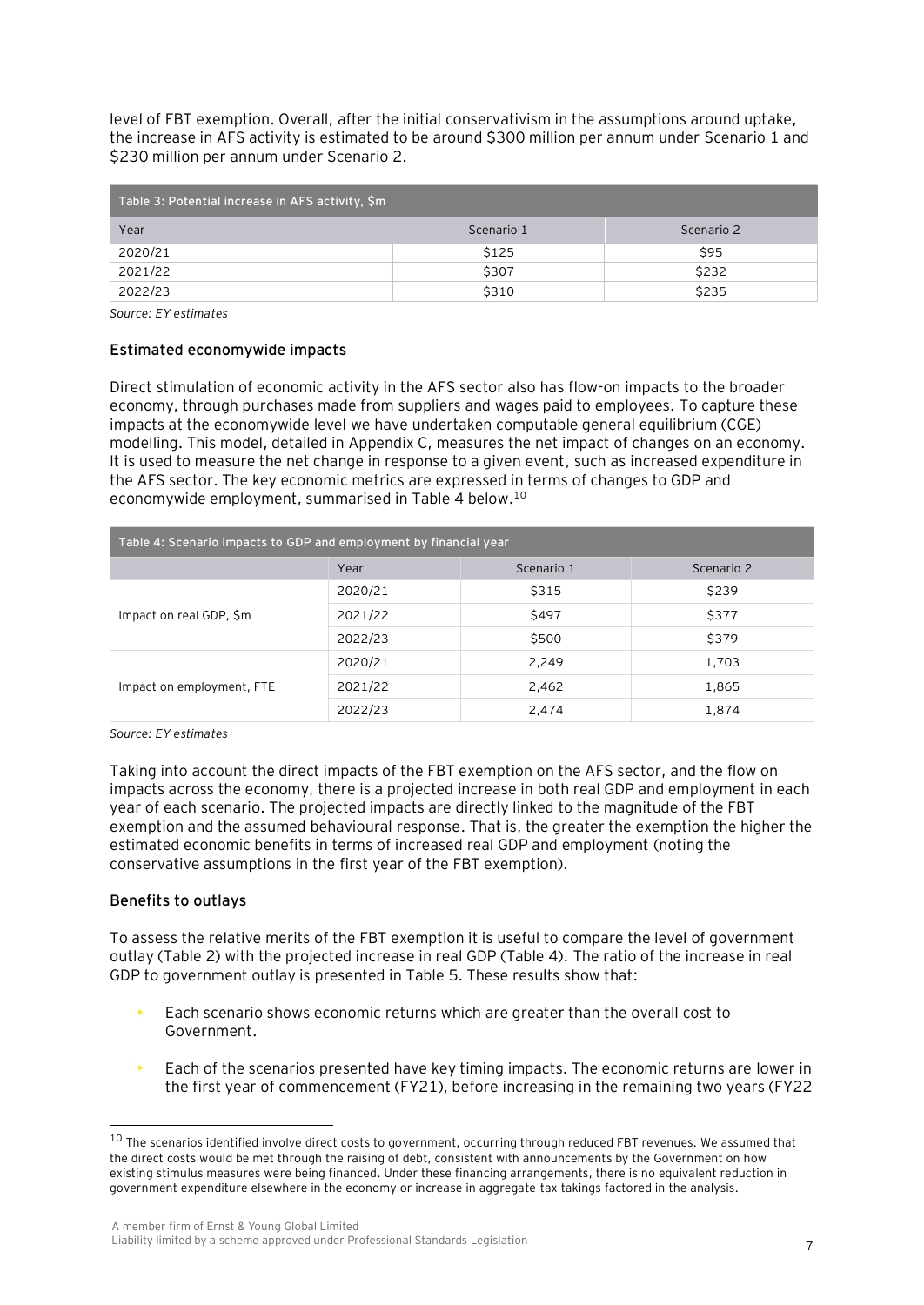level of FBT exemption. Overall, after the initial conservativism in the assumptions around uptake, the increase in AFS activity is estimated to be around \$300 million per annum under Scenario 1 and \$230 million per annum under Scenario 2.

| $\,$ Table 3: Potential increase in AFS activity, \$m $'$ |            |            |  |  |
|-----------------------------------------------------------|------------|------------|--|--|
| Year                                                      | Scenario 1 | Scenario 2 |  |  |
| 2020/21                                                   | \$125      | \$95       |  |  |
| 2021/22                                                   | \$307      | \$232      |  |  |
| 2022/23                                                   | \$310      | \$235      |  |  |

*Source: EY estimates*

#### **Estimated economywide impacts**

Direct stimulation of economic activity in the AFS sector also has flow-on impacts to the broader economy, through purchases made from suppliers and wages paid to employees. To capture these impacts at the economywide level we have undertaken computable general equilibrium (CGE) modelling. This model, detailed in Appendix C, measures the net impact of changes on an economy. It is used to measure the net change in response to a given event, such as increased expenditure in the AFS sector. The key economic metrics are expressed in terms of changes to GDP and economywide employment, summarised in Table 4 below.<sup>10</sup>

| Table 4: Scenario impacts to GDP and employment by financial year |                    |       |            |  |
|-------------------------------------------------------------------|--------------------|-------|------------|--|
|                                                                   | Year<br>Scenario 1 |       | Scenario 2 |  |
|                                                                   | 2020/21            | \$315 | \$239      |  |
| Impact on real GDP, \$m                                           | 2021/22            | \$497 | \$377      |  |
|                                                                   | 2022/23            | \$500 | \$379      |  |
|                                                                   | 2020/21            | 2,249 | 1,703      |  |
| Impact on employment, FTE                                         | 2021/22            | 2,462 | 1,865      |  |
|                                                                   | 2022/23            | 2,474 | 1,874      |  |

*Source: EY estimates*

Taking into account the direct impacts of the FBT exemption on the AFS sector, and the flow on impacts across the economy, there is a projected increase in both real GDP and employment in each year of each scenario. The projected impacts are directly linked to the magnitude of the FBT exemption and the assumed behavioural response. That is, the greater the exemption the higher the estimated economic benefits in terms of increased real GDP and employment (noting the conservative assumptions in the first year of the FBT exemption).

#### **Benefits to outlays**

To assess the relative merits of the FBT exemption it is useful to compare the level of government outlay (Table 2) with the projected increase in real GDP (Table 4). The ratio of the increase in real GDP to government outlay is presented in Table 5. These results show that:

- Each scenario shows economic returns which are greater than the overall cost to Government.
- Each of the scenarios presented have key timing impacts. The economic returns are lower in the first year of commencement (FY21), before increasing in the remaining two years (FY22

 $10$  The scenarios identified involve direct costs to government, occurring through reduced FBT revenues. We assumed that the direct costs would be met through the raising of debt, consistent with announcements by the Government on how existing stimulus measures were being financed. Under these financing arrangements, there is no equivalent reduction in government expenditure elsewhere in the economy or increase in aggregate tax takings factored in the analysis.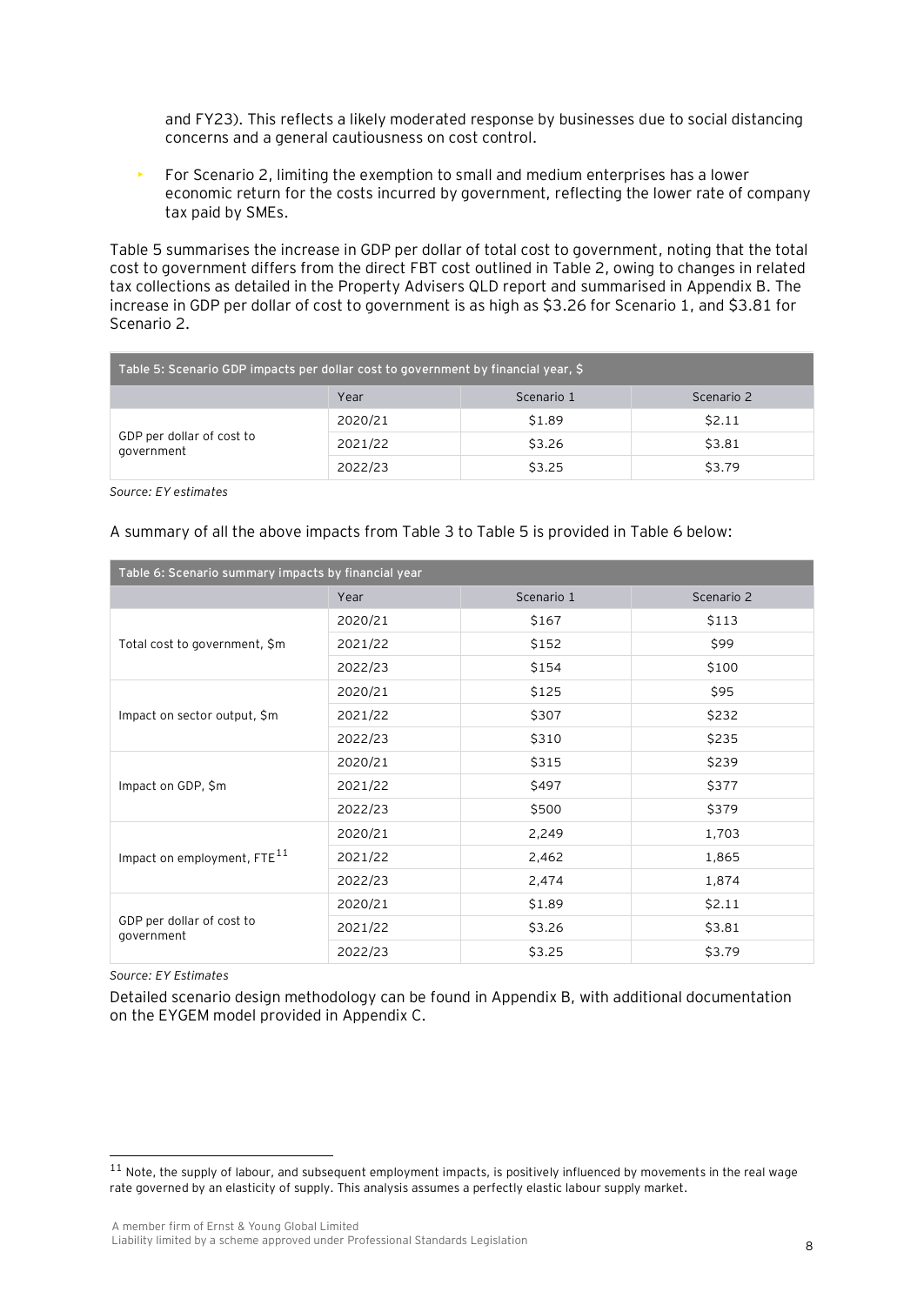and FY23). This reflects a likely moderated response by businesses due to social distancing concerns and a general cautiousness on cost control.

• For Scenario 2, limiting the exemption to small and medium enterprises has a lower economic return for the costs incurred by government, reflecting the lower rate of company tax paid by SMEs.

Table 5 summarises the increase in GDP per dollar of total cost to government, noting that the total cost to government differs from the direct FBT cost outlined in Table 2, owing to changes in related tax collections as detailed in the Property Advisers QLD report and summarised in Appendix B. The increase in GDP per dollar of cost to government is as high as \$3.26 for Scenario 1, and \$3.81 for Scenario 2.

| Table 5: Scenario GDP impacts per dollar cost to government by financial year, \$ |         |        |        |  |  |  |
|-----------------------------------------------------------------------------------|---------|--------|--------|--|--|--|
| Scenario 2<br>Year<br>Scenario 1                                                  |         |        |        |  |  |  |
|                                                                                   | 2020/21 | \$1.89 | \$2.11 |  |  |  |
| GDP per dollar of cost to<br>government                                           | 2021/22 | \$3.26 | \$3.81 |  |  |  |
|                                                                                   | 2022/23 | \$3.25 | \$3.79 |  |  |  |

*Source: EY estimates*

A summary of all the above impacts from Table 3 to Table 5 is provided in Table 6 below:

| Table 6: Scenario summary impacts by financial year |         |            |            |  |
|-----------------------------------------------------|---------|------------|------------|--|
|                                                     | Year    | Scenario 1 | Scenario 2 |  |
|                                                     | 2020/21 | \$167      | \$113      |  |
| Total cost to government, \$m                       | 2021/22 | \$152      | \$99       |  |
|                                                     | 2022/23 | \$154      | \$100      |  |
|                                                     | 2020/21 | \$125      | \$95       |  |
| Impact on sector output, \$m                        | 2021/22 | \$307      | \$232      |  |
|                                                     | 2022/23 | \$310      | \$235      |  |
|                                                     | 2020/21 | \$315      | \$239      |  |
| Impact on GDP, \$m                                  | 2021/22 | \$497      | \$377      |  |
|                                                     | 2022/23 | \$500      | \$379      |  |
|                                                     | 2020/21 | 2,249      | 1,703      |  |
| Impact on employment, FTE <sup>11</sup>             | 2021/22 | 2,462      | 1,865      |  |
|                                                     | 2022/23 | 2,474      | 1,874      |  |
|                                                     | 2020/21 | \$1.89     | \$2.11     |  |
| GDP per dollar of cost to<br>government             | 2021/22 | \$3.26     | \$3.81     |  |
|                                                     | 2022/23 | \$3.25     | \$3.79     |  |

*Source: EY Estimates*

Detailed scenario design methodology can be found in Appendix B, with additional documentation on the EYGEM model provided in Appendix C.

 $11$  Note, the supply of labour, and subsequent employment impacts, is positively influenced by movements in the real wage rate governed by an elasticity of supply. This analysis assumes a perfectly elastic labour supply market.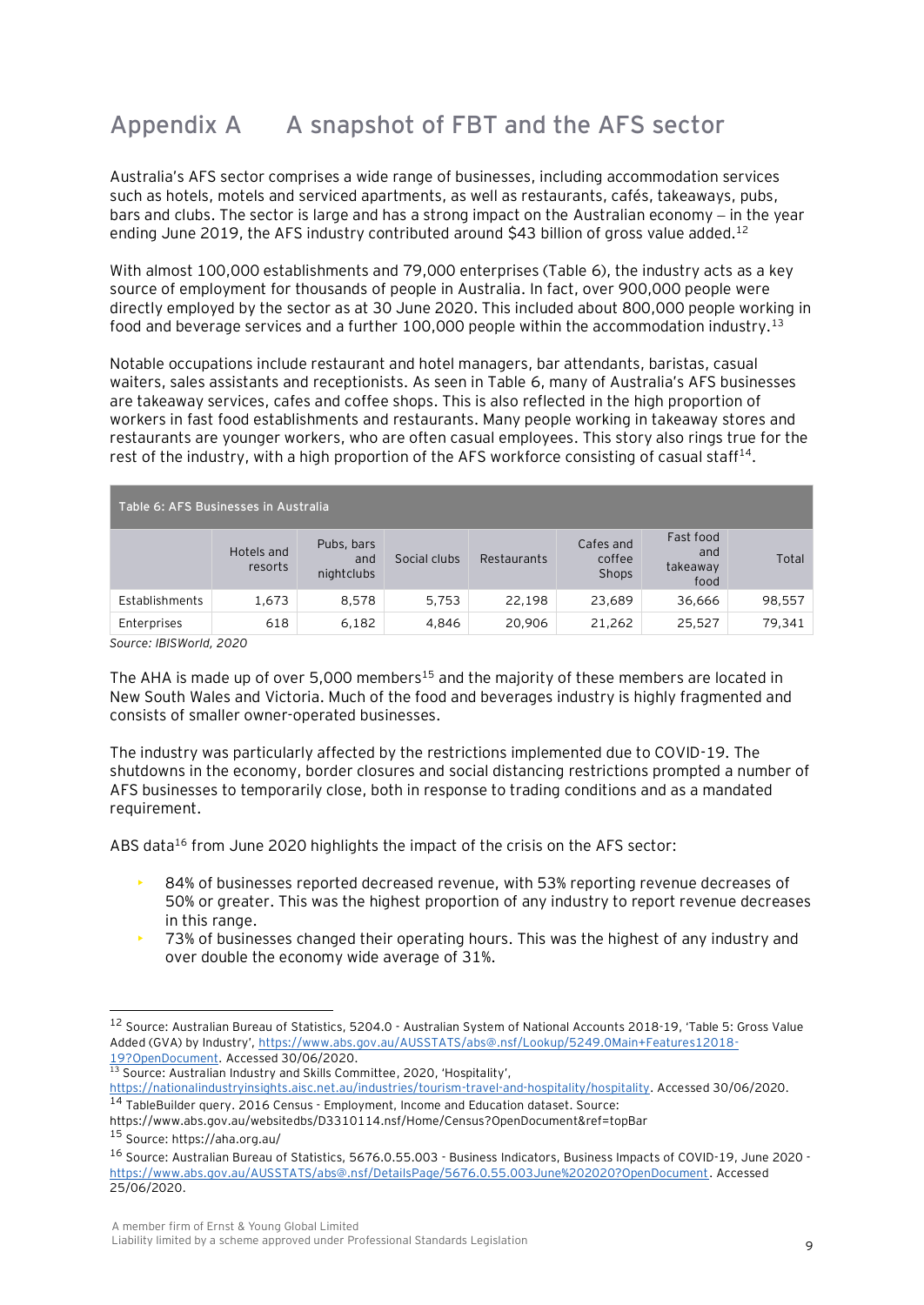## **Appendix A A snapshot of FBT and the AFS sector**

Australia's AFS sector comprises a wide range of businesses, including accommodation services such as hotels, motels and serviced apartments, as well as restaurants, cafés, takeaways, pubs, bars and clubs. The sector is large and has a strong impact on the Australian economy – in the year ending June 2019, the AFS industry contributed around \$43 billion of gross value added.<sup>12</sup>

With almost 100,000 establishments and 79,000 enterprises (Table 6), the industry acts as a key source of employment for thousands of people in Australia. In fact, over 900,000 people were directly employed by the sector as at 30 June 2020. This included about 800,000 people working in food and beverage services and a further 100,000 people within the accommodation industry.<sup>13</sup>

Notable occupations include restaurant and hotel managers, bar attendants, baristas, casual waiters, sales assistants and receptionists. As seen in Table 6, many of Australia's AFS businesses are takeaway services, cafes and coffee shops. This is also reflected in the high proportion of workers in fast food establishments and restaurants. Many people working in takeaway stores and restaurants are younger workers, who are often casual employees. This story also rings true for the rest of the industry, with a high proportion of the AFS workforce consisting of casual staff<sup>14</sup>.

| Table 6: AFS Businesses in Australia |                       |                                 |              |             |                              |                                      |        |
|--------------------------------------|-----------------------|---------------------------------|--------------|-------------|------------------------------|--------------------------------------|--------|
|                                      | Hotels and<br>resorts | Pubs, bars<br>and<br>nightclubs | Social clubs | Restaurants | Cafes and<br>coffee<br>Shops | Fast food<br>and<br>takeaway<br>food | Total  |
| Establishments                       | 1,673                 | 8.578                           | 5,753        | 22.198      | 23.689                       | 36,666                               | 98,557 |
| Enterprises                          | 618                   | 6,182                           | 4,846        | 20,906      | 21,262                       | 25,527                               | 79,341 |

*Source: IBISWorld, 2020*

The AHA is made up of over 5,000 members<sup>15</sup> and the majority of these members are located in New South Wales and Victoria. Much of the food and beverages industry is highly fragmented and consists of smaller owner-operated businesses.

The industry was particularly affected by the restrictions implemented due to COVID-19. The shutdowns in the economy, border closures and social distancing restrictions prompted a number of AFS businesses to temporarily close, both in response to trading conditions and as a mandated requirement.

ABS data<sup>16</sup> from June 2020 highlights the impact of the crisis on the AFS sector:

- 84% of businesses reported decreased revenue, with 53% reporting revenue decreases of 50% or greater. This was the highest proportion of any industry to report revenue decreases in this range.
- 73% of businesses changed their operating hours. This was the highest of any industry and over double the economy wide average of 31%.

<sup>12</sup> Source: Australian Bureau of Statistics, 5204.0 - Australian System of National Accounts 2018-19, 'Table 5: Gross Value Added (GVA) by Industry', [https://www.abs.gov.au/AUSSTATS/abs@.nsf/Lookup/5249.0Main+Features12018-](https://www.abs.gov.au/AUSSTATS/abs@.nsf/Lookup/5249.0Main+Features12018-19?OpenDocument) [19?OpenDocument.](https://www.abs.gov.au/AUSSTATS/abs@.nsf/Lookup/5249.0Main+Features12018-19?OpenDocument) Accessed 30/06/2020.

<sup>&</sup>lt;sup>13</sup> Source: Australian Industry and Skills Committee, 2020, 'Hospitality',

[https://nationalindustryinsights.aisc.net.au/industries/tourism-travel-and-hospitality/hospitality.](https://nationalindustryinsights.aisc.net.au/industries/tourism-travel-and-hospitality/hospitality) Accessed 30/06/2020. <sup>14</sup> TableBuilder query. 2016 Census - Employment, Income and Education dataset. Source:

https://www.abs.gov.au/websitedbs/D3310114.nsf/Home/Census?OpenDocument&ref=topBar <sup>15</sup> Source: https://aha.org.au/

<sup>16</sup> Source: Australian Bureau of Statistics, 5676.0.55.003 - Business Indicators, Business Impacts of COVID-19, June 2020 [https://www.abs.gov.au/AUSSTATS/abs@.nsf/DetailsPage/5676.0.55.003June%202020?OpenDocument.](https://www.abs.gov.au/AUSSTATS/abs@.nsf/DetailsPage/5676.0.55.003June%202020?OpenDocument) Accessed 25/06/2020.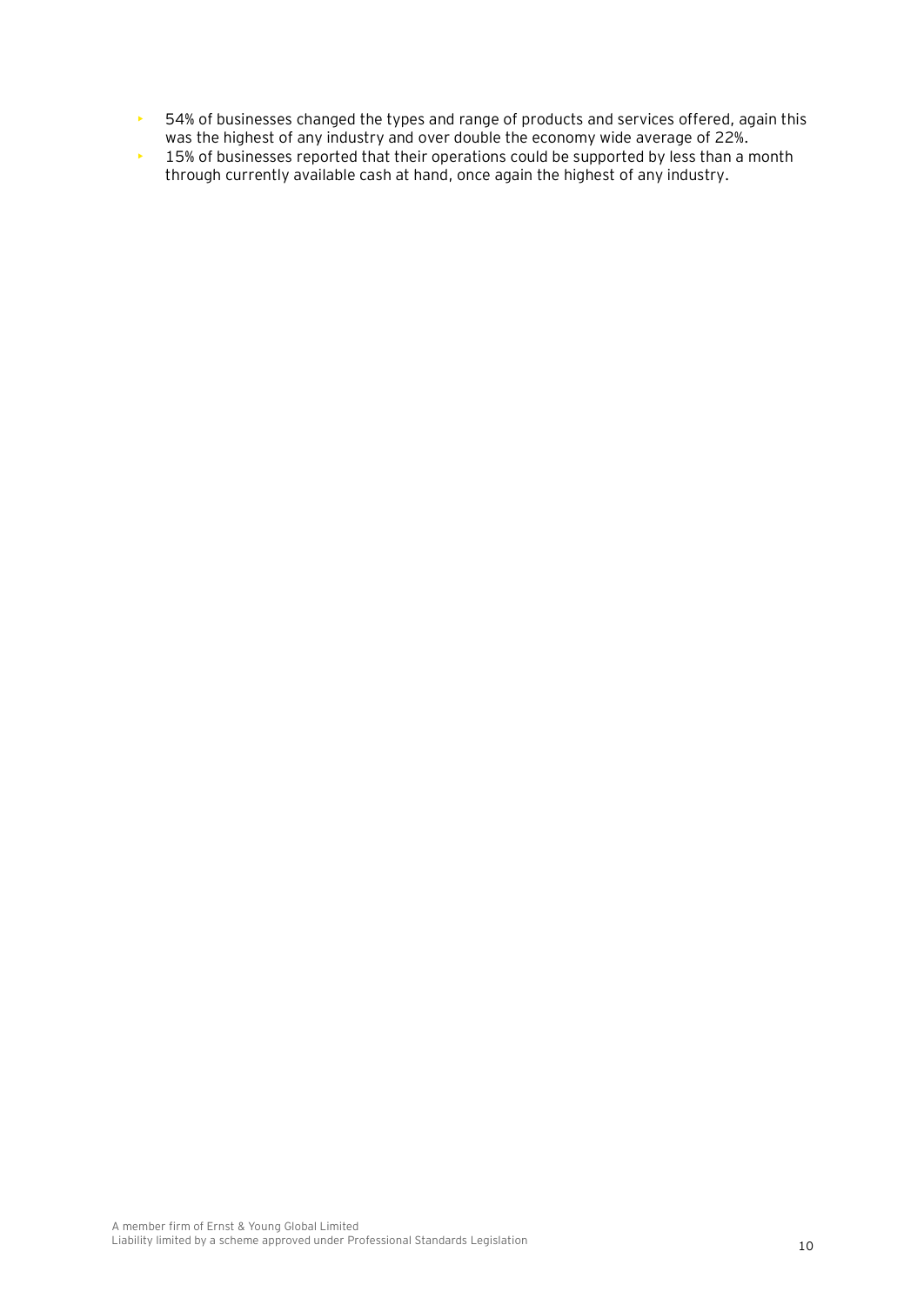- 54% of businesses changed the types and range of products and services offered, again this was the highest of any industry and over double the economy wide average of 22%.
- $\cdot$  15% of businesses reported that their operations could be supported by less than a month through currently available cash at hand, once again the highest of any industry.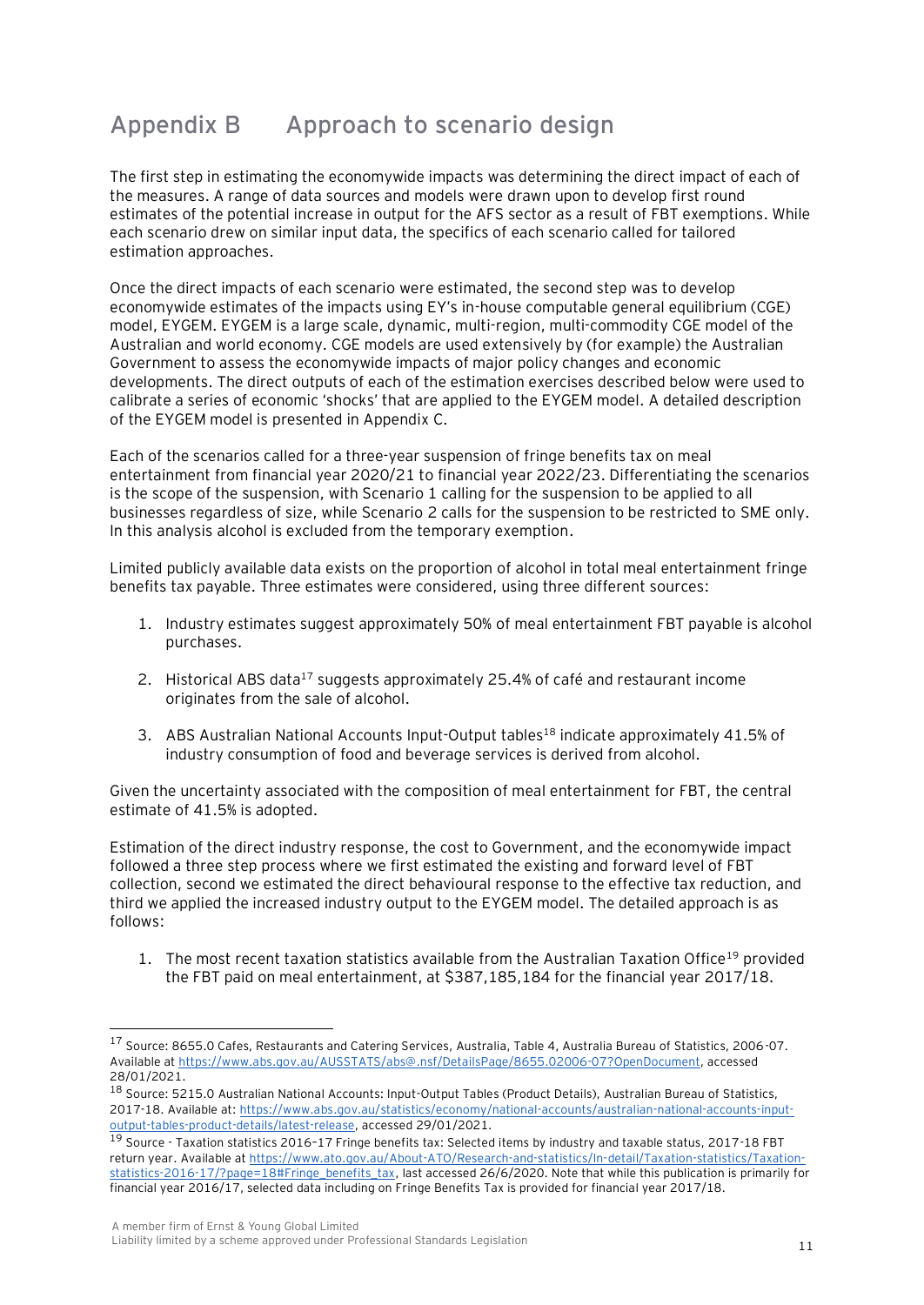## **Appendix B Approach to scenario design**

The first step in estimating the economywide impacts was determining the direct impact of each of the measures. A range of data sources and models were drawn upon to develop first round estimates of the potential increase in output for the AFS sector as a result of FBT exemptions. While each scenario drew on similar input data, the specifics of each scenario called for tailored estimation approaches.

Once the direct impacts of each scenario were estimated, the second step was to develop economywide estimates of the impacts using EY's in-house computable general equilibrium (CGE) model, EYGEM. EYGEM is a large scale, dynamic, multi-region, multi-commodity CGE model of the Australian and world economy. CGE models are used extensively by (for example) the Australian Government to assess the economywide impacts of major policy changes and economic developments. The direct outputs of each of the estimation exercises described below were used to calibrate a series of economic 'shocks' that are applied to the EYGEM model. A detailed description of the EYGEM model is presented in Appendix C.

Each of the scenarios called for a three-year suspension of fringe benefits tax on meal entertainment from financial year 2020/21 to financial year 2022/23. Differentiating the scenarios is the scope of the suspension, with Scenario 1 calling for the suspension to be applied to all businesses regardless of size, while Scenario 2 calls for the suspension to be restricted to SME only. In this analysis alcohol is excluded from the temporary exemption.

Limited publicly available data exists on the proportion of alcohol in total meal entertainment fringe benefits tax payable. Three estimates were considered, using three different sources:

- 1. Industry estimates suggest approximately 50% of meal entertainment FBT payable is alcohol purchases.
- 2. Historical ABS data<sup>17</sup> suggests approximately 25.4% of café and restaurant income originates from the sale of alcohol.
- 3. ABS Australian National Accounts Input-Output tables<sup>18</sup> indicate approximately 41.5% of industry consumption of food and beverage services is derived from alcohol.

Given the uncertainty associated with the composition of meal entertainment for FBT, the central estimate of 41.5% is adopted.

Estimation of the direct industry response, the cost to Government, and the economywide impact followed a three step process where we first estimated the existing and forward level of FBT collection, second we estimated the direct behavioural response to the effective tax reduction, and third we applied the increased industry output to the EYGEM model. The detailed approach is as follows:

1. The most recent taxation statistics available from the Australian Taxation Office<sup>19</sup> provided the FBT paid on meal entertainment, at \$387,185,184 for the financial year 2017/18.

<sup>17</sup> Source: 8655.0 Cafes, Restaurants and Catering Services, Australia, Table 4, Australia Bureau of Statistics, 2006-07. Available a[t https://www.abs.gov.au/AUSSTATS/abs@.nsf/DetailsPage/8655.02006-07?OpenDocument,](https://www.abs.gov.au/AUSSTATS/abs@.nsf/DetailsPage/8655.02006-07?OpenDocument) accessed 28/01/2021.

<sup>18</sup> Source: 5215.0 Australian National Accounts: Input-Output Tables (Product Details), Australian Bureau of Statistics, 2017-18. Available at: [https://www.abs.gov.au/statistics/economy/national-accounts/australian-national-accounts-input](https://www.abs.gov.au/statistics/economy/national-accounts/australian-national-accounts-input-output-tables-product-details/latest-release)[output-tables-product-details/latest-release,](https://www.abs.gov.au/statistics/economy/national-accounts/australian-national-accounts-input-output-tables-product-details/latest-release) accessed 29/01/2021.

<sup>19</sup> Source - Taxation statistics 2016–17 Fringe benefits tax: Selected items by industry and taxable status, 2017-18 FBT return year. Available at [https://www.ato.gov.au/About-ATO/Research-and-statistics/In-detail/Taxation-statistics/Taxation](https://www.ato.gov.au/About-ATO/Research-and-statistics/In-detail/Taxation-statistics/Taxation-statistics-2016-17/?page=18#Fringe_benefits_tax)[statistics-2016-17/?page=18#Fringe\\_benefits\\_tax,](https://www.ato.gov.au/About-ATO/Research-and-statistics/In-detail/Taxation-statistics/Taxation-statistics-2016-17/?page=18#Fringe_benefits_tax) last accessed 26/6/2020. Note that while this publication is primarily for financial year 2016/17, selected data including on Fringe Benefits Tax is provided for financial year 2017/18.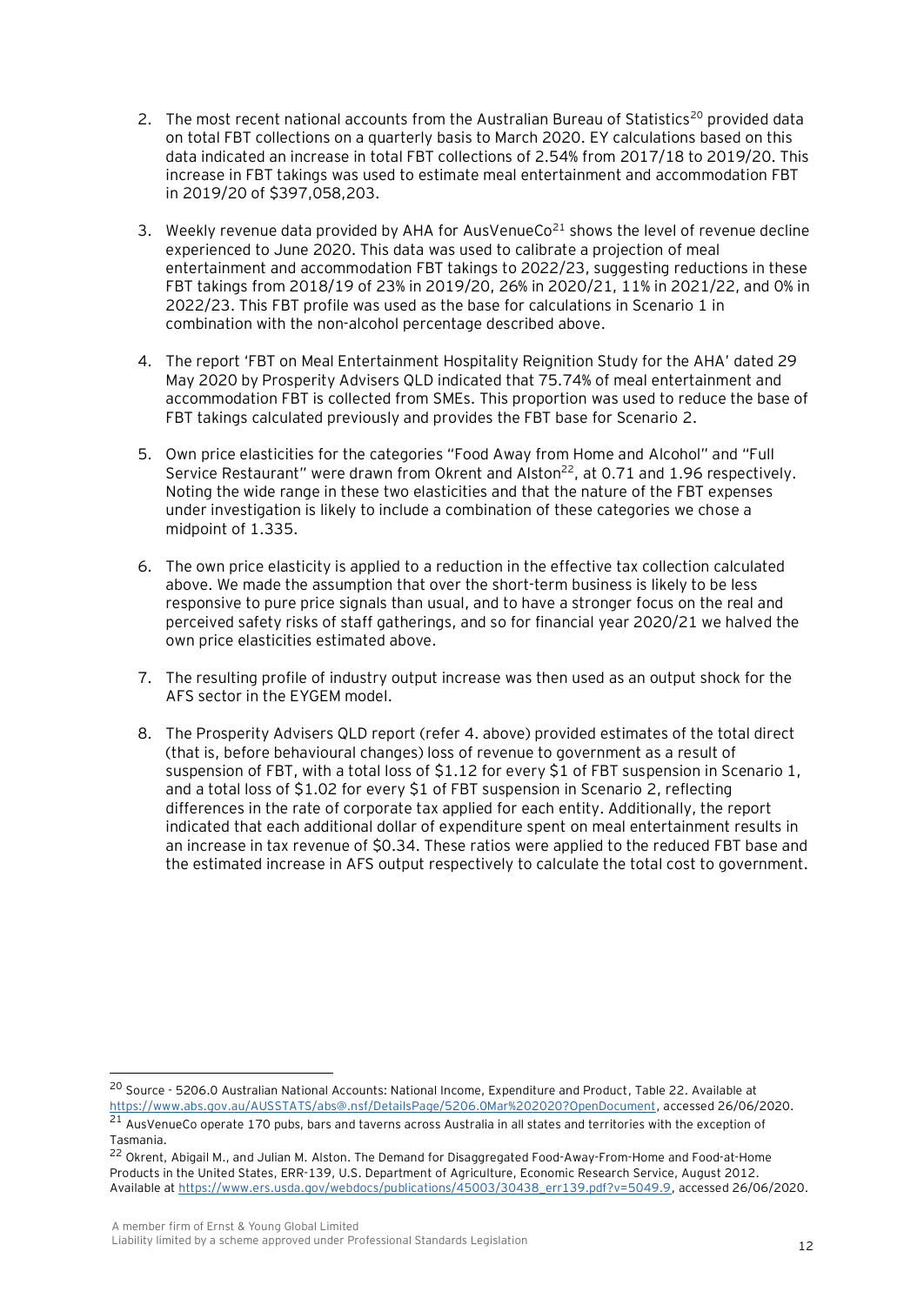- 2. The most recent national accounts from the Australian Bureau of Statistics<sup>20</sup> provided data on total FBT collections on a quarterly basis to March 2020. EY calculations based on this data indicated an increase in total FBT collections of 2.54% from 2017/18 to 2019/20. This increase in FBT takings was used to estimate meal entertainment and accommodation FBT in 2019/20 of \$397,058,203.
- 3. Weekly revenue data provided by AHA for AusVenueCo<sup>21</sup> shows the level of revenue decline experienced to June 2020. This data was used to calibrate a projection of meal entertainment and accommodation FBT takings to 2022/23, suggesting reductions in these FBT takings from 2018/19 of 23% in 2019/20, 26% in 2020/21, 11% in 2021/22, and 0% in 2022/23. This FBT profile was used as the base for calculations in Scenario 1 in combination with the non-alcohol percentage described above.
- 4. The report 'FBT on Meal Entertainment Hospitality Reignition Study for the AHA' dated 29 May 2020 by Prosperity Advisers QLD indicated that 75.74% of meal entertainment and accommodation FBT is collected from SMEs. This proportion was used to reduce the base of FBT takings calculated previously and provides the FBT base for Scenario 2.
- 5. Own price elasticities for the categories "Food Away from Home and Alcohol" and "Full Service Restaurant" were drawn from Okrent and Alston<sup>22</sup>, at 0.71 and 1.96 respectively. Noting the wide range in these two elasticities and that the nature of the FBT expenses under investigation is likely to include a combination of these categories we chose a midpoint of 1.335.
- 6. The own price elasticity is applied to a reduction in the effective tax collection calculated above. We made the assumption that over the short-term business is likely to be less responsive to pure price signals than usual, and to have a stronger focus on the real and perceived safety risks of staff gatherings, and so for financial year 2020/21 we halved the own price elasticities estimated above.
- 7. The resulting profile of industry output increase was then used as an output shock for the AFS sector in the EYGEM model.
- 8. The Prosperity Advisers QLD report (refer 4. above) provided estimates of the total direct (that is, before behavioural changes) loss of revenue to government as a result of suspension of FBT, with a total loss of \$1.12 for every \$1 of FBT suspension in Scenario 1, and a total loss of \$1.02 for every \$1 of FBT suspension in Scenario 2, reflecting differences in the rate of corporate tax applied for each entity. Additionally, the report indicated that each additional dollar of expenditure spent on meal entertainment results in an increase in tax revenue of \$0.34. These ratios were applied to the reduced FBT base and the estimated increase in AFS output respectively to calculate the total cost to government.

<sup>&</sup>lt;sup>20</sup> Source - 5206.0 Australian National Accounts: National Income, Expenditure and Product, Table 22. Available at [https://www.abs.gov.au/AUSSTATS/abs@.nsf/DetailsPage/5206.0Mar%202020?OpenDocument,](https://www.abs.gov.au/AUSSTATS/abs@.nsf/DetailsPage/5206.0Mar%202020?OpenDocument) accessed 26/06/2020.

 $^{21}$  AusVenueCo operate 170 pubs, bars and taverns across Australia in all states and territories with the exception of Tasmania.

<sup>22</sup> Okrent, Abigail M., and Julian M. Alston. The Demand for Disaggregated Food-Away-From-Home and Food-at-Home Products in the United States, ERR-139, U.S. Department of Agriculture, Economic Research Service, August 2012. Available a[t https://www.ers.usda.gov/webdocs/publications/45003/30438\\_err139.pdf?v=5049.9,](https://www.ers.usda.gov/webdocs/publications/45003/30438_err139.pdf?v=5049.9) accessed 26/06/2020.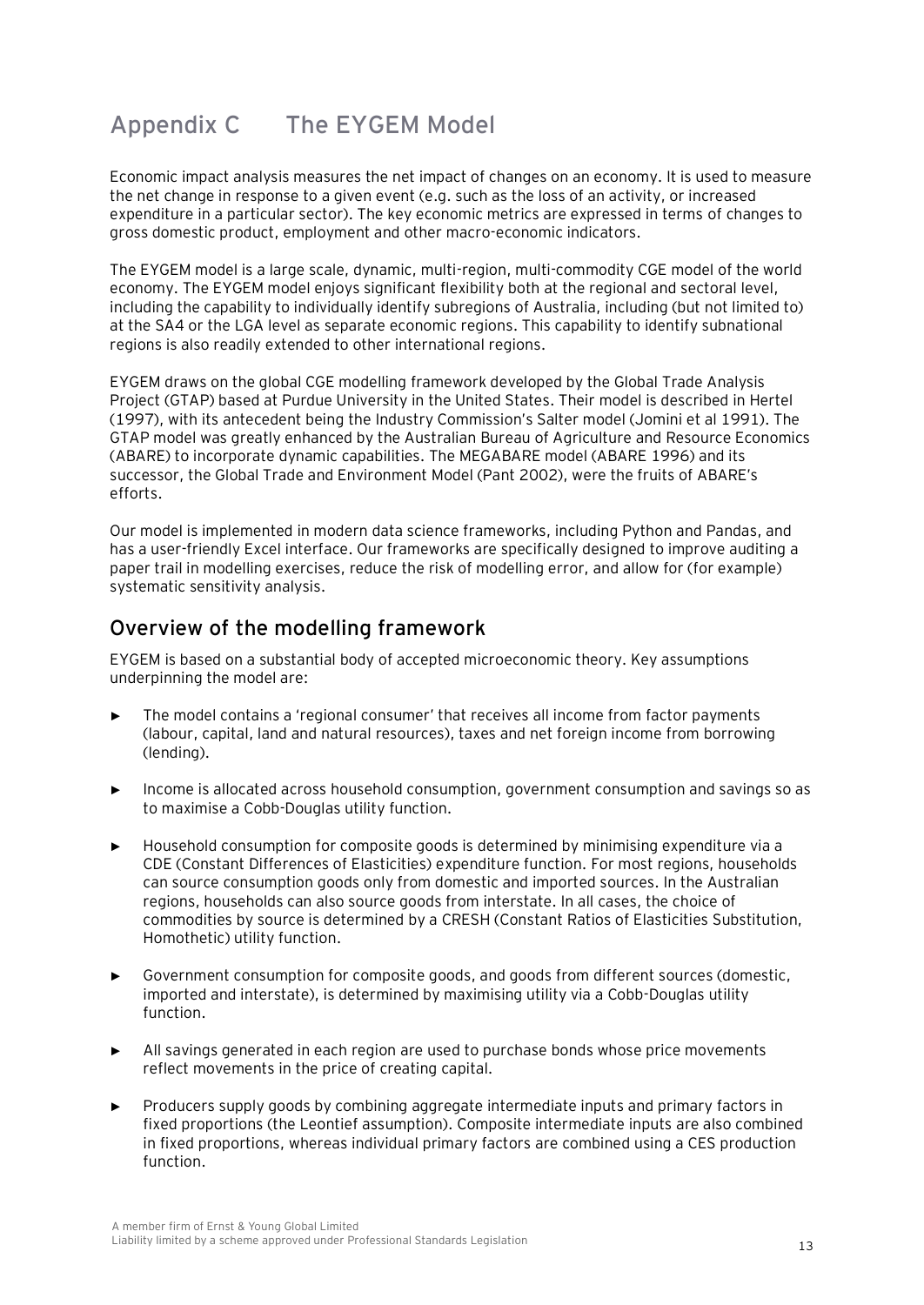# **Appendix C The EYGEM Model**

Economic impact analysis measures the net impact of changes on an economy. It is used to measure the net change in response to a given event (e.g. such as the loss of an activity, or increased expenditure in a particular sector). The key economic metrics are expressed in terms of changes to gross domestic product, employment and other macro-economic indicators.

The EYGEM model is a large scale, dynamic, multi-region, multi-commodity CGE model of the world economy. The EYGEM model enjoys significant flexibility both at the regional and sectoral level, including the capability to individually identify subregions of Australia, including (but not limited to) at the SA4 or the LGA level as separate economic regions. This capability to identify subnational regions is also readily extended to other international regions.

EYGEM draws on the global CGE modelling framework developed by the Global Trade Analysis Project (GTAP) based at Purdue University in the United States. Their model is described in Hertel (1997), with its antecedent being the Industry Commission's Salter model (Jomini et al 1991). The GTAP model was greatly enhanced by the Australian Bureau of Agriculture and Resource Economics (ABARE) to incorporate dynamic capabilities. The MEGABARE model (ABARE 1996) and its successor, the Global Trade and Environment Model (Pant 2002), were the fruits of ABARE's efforts.

Our model is implemented in modern data science frameworks, including Python and Pandas, and has a user-friendly Excel interface. Our frameworks are specifically designed to improve auditing a paper trail in modelling exercises, reduce the risk of modelling error, and allow for (for example) systematic sensitivity analysis.

### **Overview of the modelling framework**

EYGEM is based on a substantial body of accepted microeconomic theory. Key assumptions underpinning the model are:

- The model contains a 'regional consumer' that receives all income from factor payments (labour, capital, land and natural resources), taxes and net foreign income from borrowing (lending).
- ► Income is allocated across household consumption, government consumption and savings so as to maximise a Cobb-Douglas utility function.
- ► Household consumption for composite goods is determined by minimising expenditure via a CDE (Constant Differences of Elasticities) expenditure function. For most regions, households can source consumption goods only from domestic and imported sources. In the Australian regions, households can also source goods from interstate. In all cases, the choice of commodities by source is determined by a CRESH (Constant Ratios of Elasticities Substitution, Homothetic) utility function.
- ► Government consumption for composite goods, and goods from different sources (domestic, imported and interstate), is determined by maximising utility via a Cobb-Douglas utility function.
- ► All savings generated in each region are used to purchase bonds whose price movements reflect movements in the price of creating capital.
- ► Producers supply goods by combining aggregate intermediate inputs and primary factors in fixed proportions (the Leontief assumption). Composite intermediate inputs are also combined in fixed proportions, whereas individual primary factors are combined using a CES production function.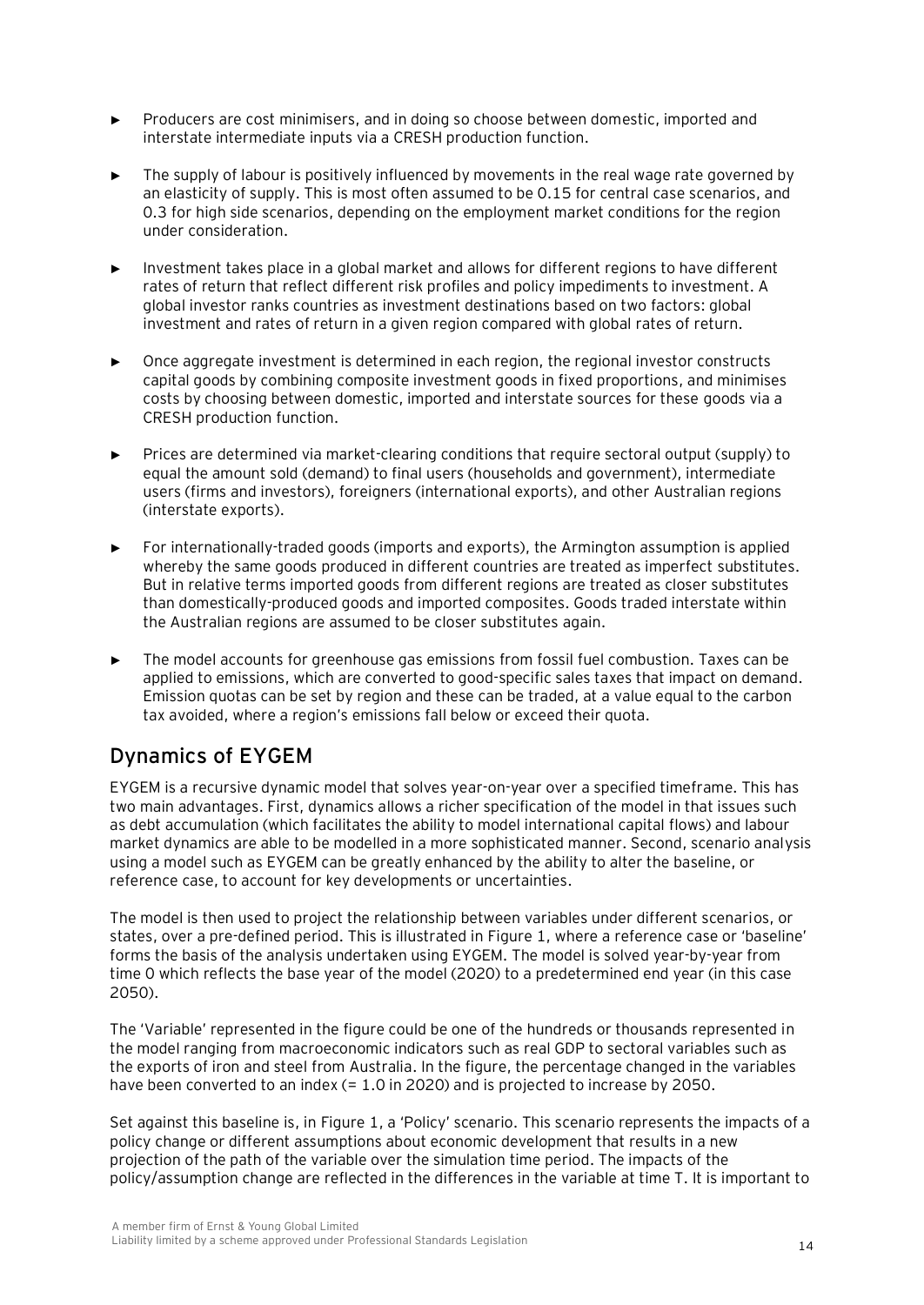- ► Producers are cost minimisers, and in doing so choose between domestic, imported and interstate intermediate inputs via a CRESH production function.
- The supply of labour is positively influenced by movements in the real wage rate governed by an elasticity of supply. This is most often assumed to be 0.15 for central case scenarios, and 0.3 for high side scenarios, depending on the employment market conditions for the region under consideration.
- ► Investment takes place in a global market and allows for different regions to have different rates of return that reflect different risk profiles and policy impediments to investment. A global investor ranks countries as investment destinations based on two factors: global investment and rates of return in a given region compared with global rates of return.
- Once aggregate investment is determined in each region, the regional investor constructs capital goods by combining composite investment goods in fixed proportions, and minimises costs by choosing between domestic, imported and interstate sources for these goods via a CRESH production function.
- Prices are determined via market-clearing conditions that require sectoral output (supply) to equal the amount sold (demand) to final users (households and government), intermediate users (firms and investors), foreigners (international exports), and other Australian regions (interstate exports).
- ► For internationally-traded goods (imports and exports), the Armington assumption is applied whereby the same goods produced in different countries are treated as imperfect substitutes. But in relative terms imported goods from different regions are treated as closer substitutes than domestically-produced goods and imported composites. Goods traded interstate within the Australian regions are assumed to be closer substitutes again.
- The model accounts for greenhouse gas emissions from fossil fuel combustion. Taxes can be applied to emissions, which are converted to good-specific sales taxes that impact on demand. Emission quotas can be set by region and these can be traded, at a value equal to the carbon tax avoided, where a region's emissions fall below or exceed their quota.

## **Dynamics of EYGEM**

EYGEM is a recursive dynamic model that solves year-on-year over a specified timeframe. This has two main advantages. First, dynamics allows a richer specification of the model in that issues such as debt accumulation (which facilitates the ability to model international capital flows) and labour market dynamics are able to be modelled in a more sophisticated manner. Second, scenario analysis using a model such as EYGEM can be greatly enhanced by the ability to alter the baseline, or reference case, to account for key developments or uncertainties.

The model is then used to project the relationship between variables under different scenarios, or states, over a pre-defined period. This is illustrated in [Figure 1](#page-23-0), where a reference case or 'baseline' forms the basis of the analysis undertaken using EYGEM. The model is solved year-by-year from time 0 which reflects the base year of the model (2020) to a predetermined end year (in this case 2050).

The 'Variable' represented in the figure could be one of the hundreds or thousands represented in the model ranging from macroeconomic indicators such as real GDP to sectoral variables such as the exports of iron and steel from Australia. In the figure, the percentage changed in the variables have been converted to an index (= 1.0 in 2020) and is projected to increase by 2050.

Set against this baseline is, i[n Figure 1](#page-23-0), a 'Policy' scenario. This scenario represents the impacts of a policy change or different assumptions about economic development that results in a new projection of the path of the variable over the simulation time period. The impacts of the policy/assumption change are reflected in the differences in the variable at time T. It is important to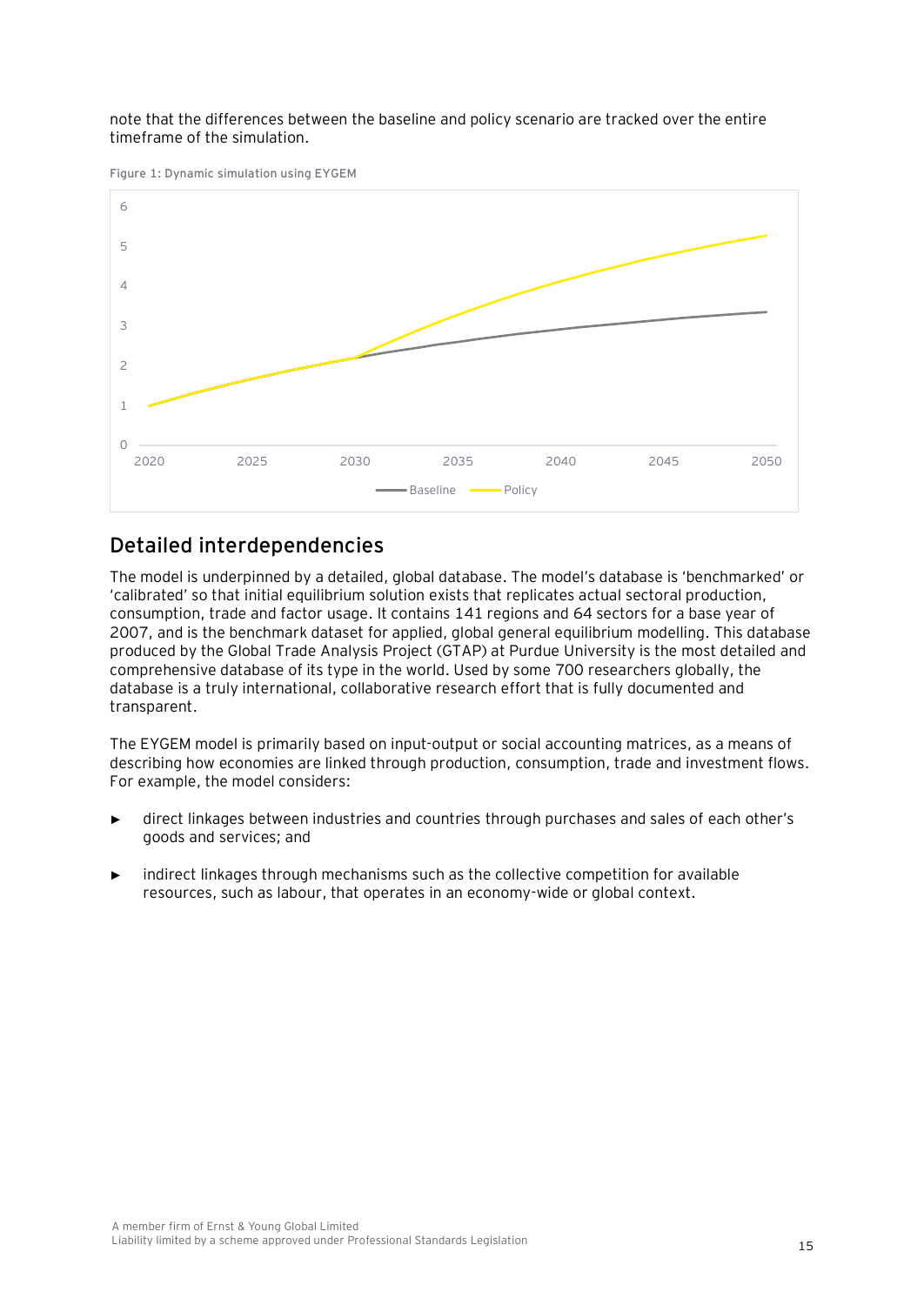#### note that the differences between the baseline and policy scenario are tracked over the entire timeframe of the simulation.

<span id="page-23-0"></span>**Figure 1: Dynamic simulation using EYGEM**



### **Detailed interdependencies**

The model is underpinned by a detailed, global database. The model's database is 'benchmarked' or 'calibrated' so that initial equilibrium solution exists that replicates actual sectoral production, consumption, trade and factor usage. It contains 141 regions and 64 sectors for a base year of 2007, and is the benchmark dataset for applied, global general equilibrium modelling. This database produced by the Global Trade Analysis Project (GTAP) at Purdue University is the most detailed and comprehensive database of its type in the world. Used by some 700 researchers globally, the database is a truly international, collaborative research effort that is fully documented and transparent.

The EYGEM model is primarily based on input-output or social accounting matrices, as a means of describing how economies are linked through production, consumption, trade and investment flows. For example, the model considers:

- direct linkages between industries and countries through purchases and sales of each other's goods and services; and
- indirect linkages through mechanisms such as the collective competition for available resources, such as labour, that operates in an economy-wide or global context.